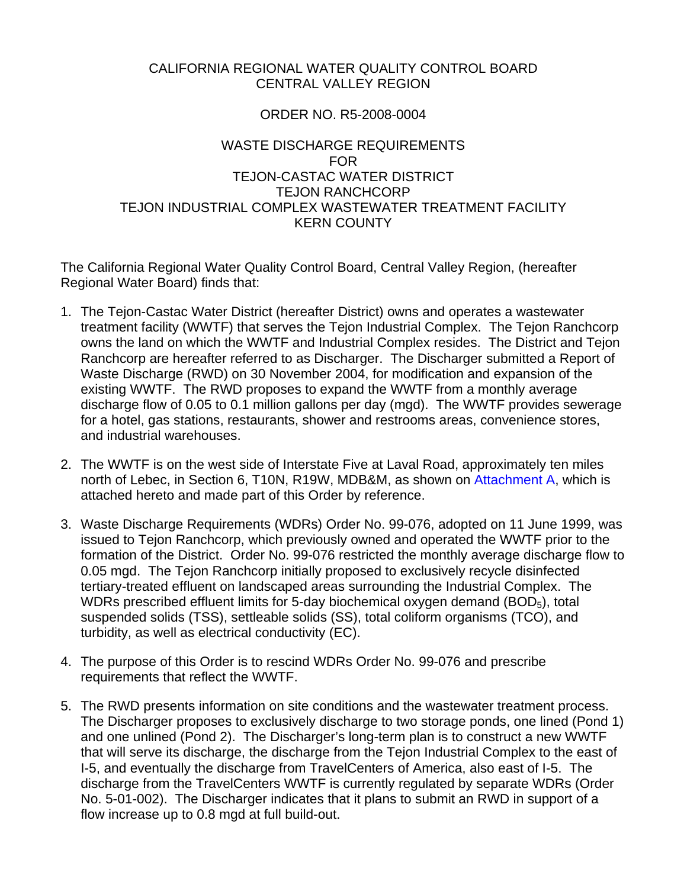# CALIFORNIA REGIONAL WATER QUALITY CONTROL BOARD CENTRAL VALLEY REGION

# ORDER NO. R5-2008-0004

# WASTE DISCHARGE REQUIREMENTS FOR TEJON-CASTAC WATER DISTRICT TEJON RANCHCORP TEJON INDUSTRIAL COMPLEX WASTEWATER TREATMENT FACILITY KERN COUNTY

The California Regional Water Quality Control Board, Central Valley Region, (hereafter Regional Water Board) finds that:

- 1. The Tejon-Castac Water District (hereafter District) owns and operates a wastewater treatment facility (WWTF) that serves the Tejon Industrial Complex. The Tejon Ranchcorp owns the land on which the WWTF and Industrial Complex resides. The District and Tejon Ranchcorp are hereafter referred to as Discharger. The Discharger submitted a Report of Waste Discharge (RWD) on 30 November 2004, for modification and expansion of the existing WWTF. The RWD proposes to expand the WWTF from a monthly average discharge flow of 0.05 to 0.1 million gallons per day (mgd). The WWTF provides sewerage for a hotel, gas stations, restaurants, shower and restrooms areas, convenience stores, and industrial warehouses.
- 2. The WWTF is on the west side of Interstate Five at Laval Road, approximately ten miles north of Lebec, in Section 6, T10N, R19W, MDB&M, as shown on Attachment A, which is attached hereto and made part of this Order by reference.
- 3. Waste Discharge Requirements (WDRs) Order No. 99-076, adopted on 11 June 1999, was issued to Tejon Ranchcorp, which previously owned and operated the WWTF prior to the formation of the District. Order No. 99-076 restricted the monthly average discharge flow to 0.05 mgd. The Tejon Ranchcorp initially proposed to exclusively recycle disinfected tertiary-treated effluent on landscaped areas surrounding the Industrial Complex. The WDRs prescribed effluent limits for 5-day biochemical oxygen demand (BOD<sub>5</sub>), total suspended solids (TSS), settleable solids (SS), total coliform organisms (TCO), and turbidity, as well as electrical conductivity (EC).
- 4. The purpose of this Order is to rescind WDRs Order No. 99-076 and prescribe requirements that reflect the WWTF.
- 5. The RWD presents information on site conditions and the wastewater treatment process. The Discharger proposes to exclusively discharge to two storage ponds, one lined (Pond 1) and one unlined (Pond 2). The Discharger's long-term plan is to construct a new WWTF that will serve its discharge, the discharge from the Tejon Industrial Complex to the east of I-5, and eventually the discharge from TravelCenters of America, also east of I-5. The discharge from the TravelCenters WWTF is currently regulated by separate WDRs (Order No. 5-01-002). The Discharger indicates that it plans to submit an RWD in support of a flow increase up to 0.8 mgd at full build-out.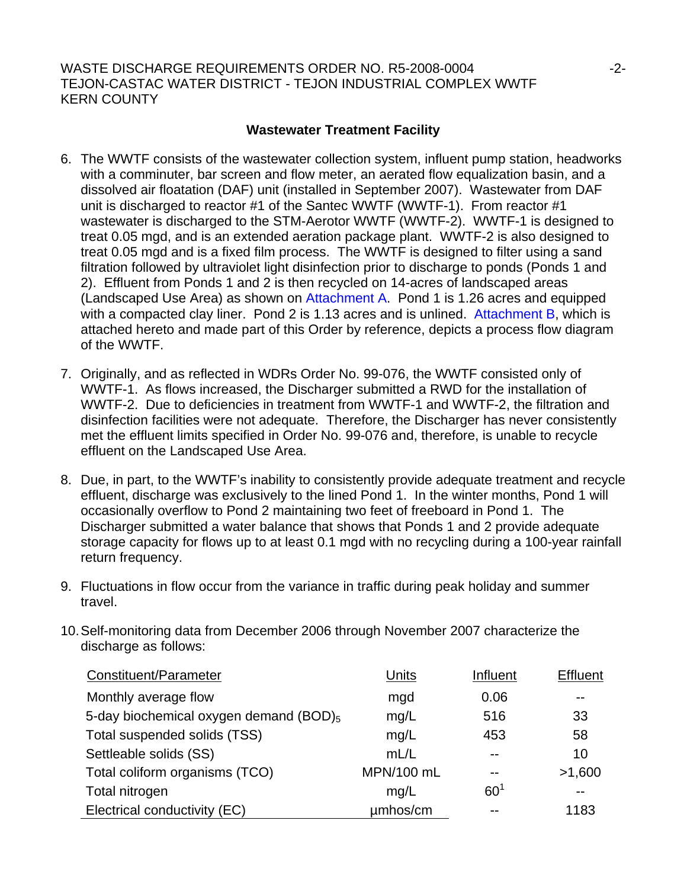WASTE DISCHARGE REQUIREMENTS ORDER NO. R5-2008-0004  $-2$ -2-TEJON-CASTAC WATER DISTRICT - TEJON INDUSTRIAL COMPLEX WWTF KERN COUNTY

# **Wastewater Treatment Facility**

- 6. The WWTF consists of the wastewater collection system, influent pump station, headworks with a comminuter, bar screen and flow meter, an aerated flow equalization basin, and a dissolved air floatation (DAF) unit (installed in September 2007). Wastewater from DAF unit is discharged to reactor #1 of the Santec WWTF (WWTF-1). From reactor #1 wastewater is discharged to the STM-Aerotor WWTF (WWTF-2). WWTF-1 is designed to treat 0.05 mgd, and is an extended aeration package plant. WWTF-2 is also designed to treat 0.05 mgd and is a fixed film process. The WWTF is designed to filter using a sand filtration followed by ultraviolet light disinfection prior to discharge to ponds (Ponds 1 and 2). Effluent from Ponds 1 and 2 is then recycled on 14-acres of landscaped areas (Landscaped Use Area) as shown on Attachment A. Pond 1 is 1.26 acres and equipped with a compacted clay liner. Pond 2 is 1.13 acres and is unlined. Attachment B, which is attached hereto and made part of this Order by reference, depicts a process flow diagram of the WWTF.
- 7. Originally, and as reflected in WDRs Order No. 99-076, the WWTF consisted only of WWTF-1. As flows increased, the Discharger submitted a RWD for the installation of WWTF-2. Due to deficiencies in treatment from WWTF-1 and WWTF-2, the filtration and disinfection facilities were not adequate. Therefore, the Discharger has never consistently met the effluent limits specified in Order No. 99-076 and, therefore, is unable to recycle effluent on the Landscaped Use Area.
- 8. Due, in part, to the WWTF's inability to consistently provide adequate treatment and recycle effluent, discharge was exclusively to the lined Pond 1. In the winter months, Pond 1 will occasionally overflow to Pond 2 maintaining two feet of freeboard in Pond 1. The Discharger submitted a water balance that shows that Ponds 1 and 2 provide adequate storage capacity for flows up to at least 0.1 mgd with no recycling during a 100-year rainfall return frequency.
- 9. Fluctuations in flow occur from the variance in traffic during peak holiday and summer travel.
- 10. Self-monitoring data from December 2006 through November 2007 characterize the discharge as follows:

| Constituent/Parameter                              | Units      | Influent        | <b>Effluent</b> |  |
|----------------------------------------------------|------------|-----------------|-----------------|--|
| Monthly average flow                               | mgd        | 0.06            | --              |  |
| 5-day biochemical oxygen demand (BOD) <sub>5</sub> | mg/L       | 516             | 33              |  |
| Total suspended solids (TSS)                       | mg/L       | 453             | 58              |  |
| Settleable solids (SS)                             | mL/L       |                 | 10              |  |
| Total coliform organisms (TCO)                     | MPN/100 mL |                 | >1,600          |  |
| Total nitrogen                                     | mg/L       | 60 <sup>1</sup> |                 |  |
| Electrical conductivity (EC)                       | umhos/cm   |                 | 1183            |  |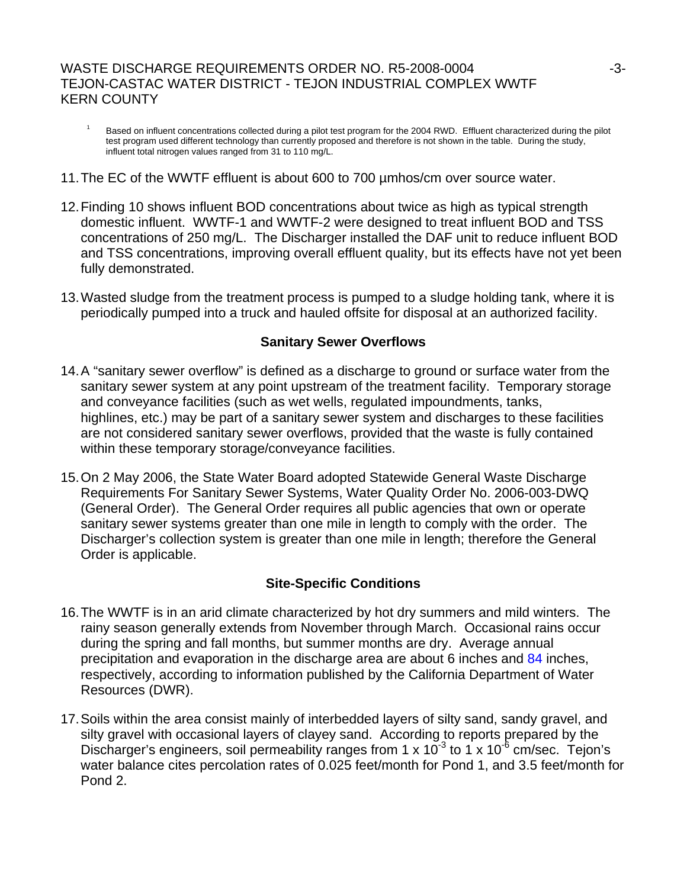# WASTE DISCHARGE REQUIREMENTS ORDER NO. R5-2008-0004  $-3$ -3-TEJON-CASTAC WATER DISTRICT - TEJON INDUSTRIAL COMPLEX WWTF KERN COUNTY

- 1 Based on influent concentrations collected during a pilot test program for the 2004 RWD. Effluent characterized during the pilot test program used different technology than currently proposed and therefore is not shown in the table. During the study, influent total nitrogen values ranged from 31 to 110 mg/L.
- 11. The EC of the WWTF effluent is about 600 to 700 µmhos/cm over source water.
- 12. Finding 10 shows influent BOD concentrations about twice as high as typical strength domestic influent. WWTF-1 and WWTF-2 were designed to treat influent BOD and TSS concentrations of 250 mg/L. The Discharger installed the DAF unit to reduce influent BOD and TSS concentrations, improving overall effluent quality, but its effects have not yet been fully demonstrated.
- 13. Wasted sludge from the treatment process is pumped to a sludge holding tank, where it is periodically pumped into a truck and hauled offsite for disposal at an authorized facility.

# **Sanitary Sewer Overflows**

- 14. A "sanitary sewer overflow" is defined as a discharge to ground or surface water from the sanitary sewer system at any point upstream of the treatment facility. Temporary storage and conveyance facilities (such as wet wells, regulated impoundments, tanks, highlines, etc.) may be part of a sanitary sewer system and discharges to these facilities are not considered sanitary sewer overflows, provided that the waste is fully contained within these temporary storage/conveyance facilities.
- 15. On 2 May 2006, the State Water Board adopted Statewide General Waste Discharge Requirements For Sanitary Sewer Systems, Water Quality Order No. 2006-003-DWQ (General Order). The General Order requires all public agencies that own or operate sanitary sewer systems greater than one mile in length to comply with the order. The Discharger's collection system is greater than one mile in length; therefore the General Order is applicable.

# **Site-Specific Conditions**

- 16. The WWTF is in an arid climate characterized by hot dry summers and mild winters. The rainy season generally extends from November through March. Occasional rains occur during the spring and fall months, but summer months are dry. Average annual precipitation and evaporation in the discharge area are about 6 inches and 84 inches, respectively, according to information published by the California Department of Water Resources (DWR).
- 17. Soils within the area consist mainly of interbedded layers of silty sand, sandy gravel, and silty gravel with occasional layers of clayey sand. According to reports prepared by the Discharger's engineers, soil permeability ranges from 1 x  $10^{-3}$  to 1 x  $10^{-6}$  cm/sec. Tejon's water balance cites percolation rates of 0.025 feet/month for Pond 1, and 3.5 feet/month for Pond 2.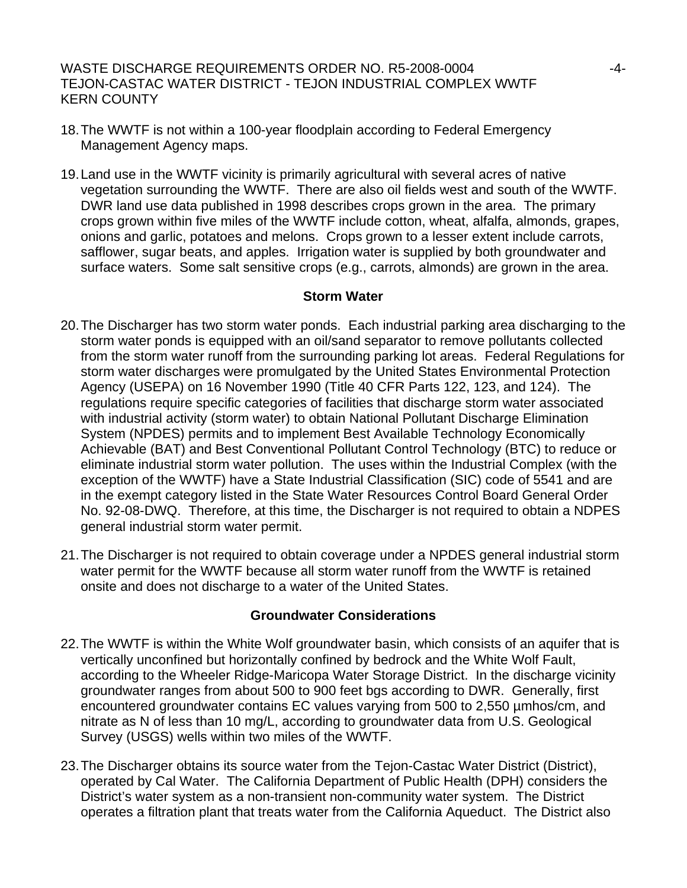WASTE DISCHARGE REQUIREMENTS ORDER NO. R5-2008-0004  $-4$ -4-TEJON-CASTAC WATER DISTRICT - TEJON INDUSTRIAL COMPLEX WWTF KERN COUNTY

- 18. The WWTF is not within a 100-year floodplain according to Federal Emergency Management Agency maps.
- 19. Land use in the WWTF vicinity is primarily agricultural with several acres of native vegetation surrounding the WWTF. There are also oil fields west and south of the WWTF. DWR land use data published in 1998 describes crops grown in the area. The primary crops grown within five miles of the WWTF include cotton, wheat, alfalfa, almonds, grapes, onions and garlic, potatoes and melons. Crops grown to a lesser extent include carrots, safflower, sugar beats, and apples. Irrigation water is supplied by both groundwater and surface waters. Some salt sensitive crops (e.g., carrots, almonds) are grown in the area.

#### **Storm Water**

- 20. The Discharger has two storm water ponds. Each industrial parking area discharging to the storm water ponds is equipped with an oil/sand separator to remove pollutants collected from the storm water runoff from the surrounding parking lot areas. Federal Regulations for storm water discharges were promulgated by the United States Environmental Protection Agency (USEPA) on 16 November 1990 (Title 40 CFR Parts 122, 123, and 124). The regulations require specific categories of facilities that discharge storm water associated with industrial activity (storm water) to obtain National Pollutant Discharge Elimination System (NPDES) permits and to implement Best Available Technology Economically Achievable (BAT) and Best Conventional Pollutant Control Technology (BTC) to reduce or eliminate industrial storm water pollution. The uses within the Industrial Complex (with the exception of the WWTF) have a State Industrial Classification (SIC) code of 5541 and are in the exempt category listed in the State Water Resources Control Board General Order No. 92-08-DWQ. Therefore, at this time, the Discharger is not required to obtain a NDPES general industrial storm water permit.
- 21. The Discharger is not required to obtain coverage under a NPDES general industrial storm water permit for the WWTF because all storm water runoff from the WWTF is retained onsite and does not discharge to a water of the United States.

#### **Groundwater Considerations**

- 22. The WWTF is within the White Wolf groundwater basin, which consists of an aquifer that is vertically unconfined but horizontally confined by bedrock and the White Wolf Fault, according to the Wheeler Ridge-Maricopa Water Storage District. In the discharge vicinity groundwater ranges from about 500 to 900 feet bgs according to DWR. Generally, first encountered groundwater contains EC values varying from 500 to 2,550 µmhos/cm, and nitrate as N of less than 10 mg/L, according to groundwater data from U.S. Geological Survey (USGS) wells within two miles of the WWTF.
- 23. The Discharger obtains its source water from the Tejon-Castac Water District (District), operated by Cal Water. The California Department of Public Health (DPH) considers the District's water system as a non-transient non-community water system. The District operates a filtration plant that treats water from the California Aqueduct. The District also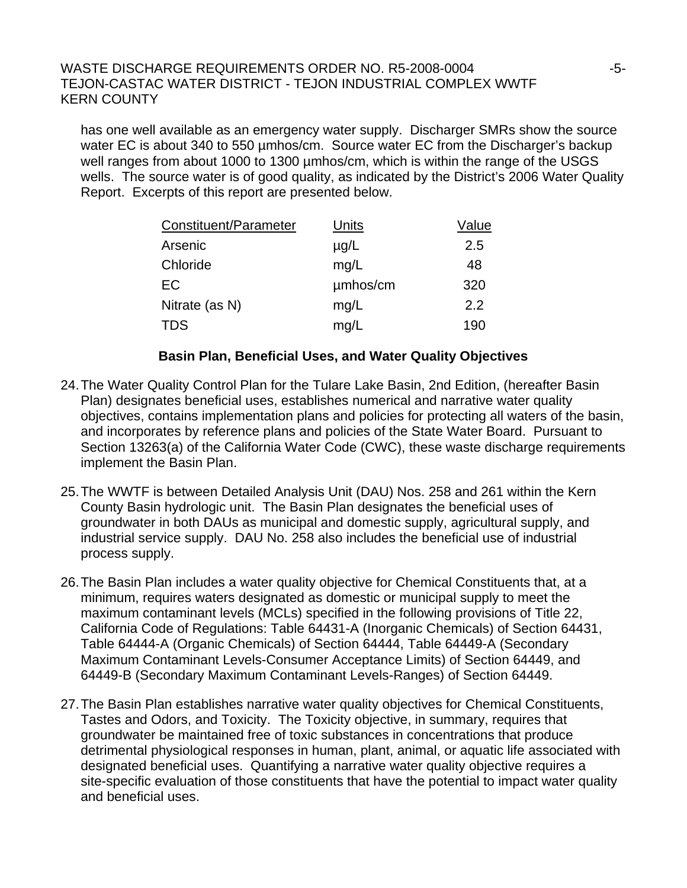## WASTE DISCHARGE REQUIREMENTS ORDER NO. R5-2008-0004  $-5$ -TEJON-CASTAC WATER DISTRICT - TEJON INDUSTRIAL COMPLEX WWTF KERN COUNTY

has one well available as an emergency water supply. Discharger SMRs show the source water EC is about 340 to 550 µmhos/cm. Source water EC from the Discharger's backup well ranges from about 1000 to 1300 µmhos/cm, which is within the range of the USGS wells. The source water is of good quality, as indicated by the District's 2006 Water Quality Report. Excerpts of this report are presented below.

| Constituent/Parameter | Units     | Value |
|-----------------------|-----------|-------|
| Arsenic               | $\mu$ g/L | 2.5   |
| Chloride              | mg/L      | 48    |
| EC                    | umhos/cm  | 320   |
| Nitrate (as N)        | mg/L      | 2.2   |
| <b>TDS</b>            | mg/L      | 190   |

### **Basin Plan, Beneficial Uses, and Water Quality Objectives**

- 24. The Water Quality Control Plan for the Tulare Lake Basin, 2nd Edition, (hereafter Basin Plan) designates beneficial uses, establishes numerical and narrative water quality objectives, contains implementation plans and policies for protecting all waters of the basin, and incorporates by reference plans and policies of the State Water Board. Pursuant to Section 13263(a) of the California Water Code (CWC), these waste discharge requirements implement the Basin Plan.
- 25. The WWTF is between Detailed Analysis Unit (DAU) Nos. 258 and 261 within the Kern County Basin hydrologic unit. The Basin Plan designates the beneficial uses of groundwater in both DAUs as municipal and domestic supply, agricultural supply, and industrial service supply. DAU No. 258 also includes the beneficial use of industrial process supply.
- 26. The Basin Plan includes a water quality objective for Chemical Constituents that, at a minimum, requires waters designated as domestic or municipal supply to meet the maximum contaminant levels (MCLs) specified in the following provisions of Title 22, California Code of Regulations: Table 64431-A (Inorganic Chemicals) of Section 64431, Table 64444-A (Organic Chemicals) of Section 64444, Table 64449-A (Secondary Maximum Contaminant Levels-Consumer Acceptance Limits) of Section 64449, and 64449-B (Secondary Maximum Contaminant Levels-Ranges) of Section 64449.
- 27. The Basin Plan establishes narrative water quality objectives for Chemical Constituents, Tastes and Odors, and Toxicity. The Toxicity objective, in summary, requires that groundwater be maintained free of toxic substances in concentrations that produce detrimental physiological responses in human, plant, animal, or aquatic life associated with designated beneficial uses. Quantifying a narrative water quality objective requires a site-specific evaluation of those constituents that have the potential to impact water quality and beneficial uses.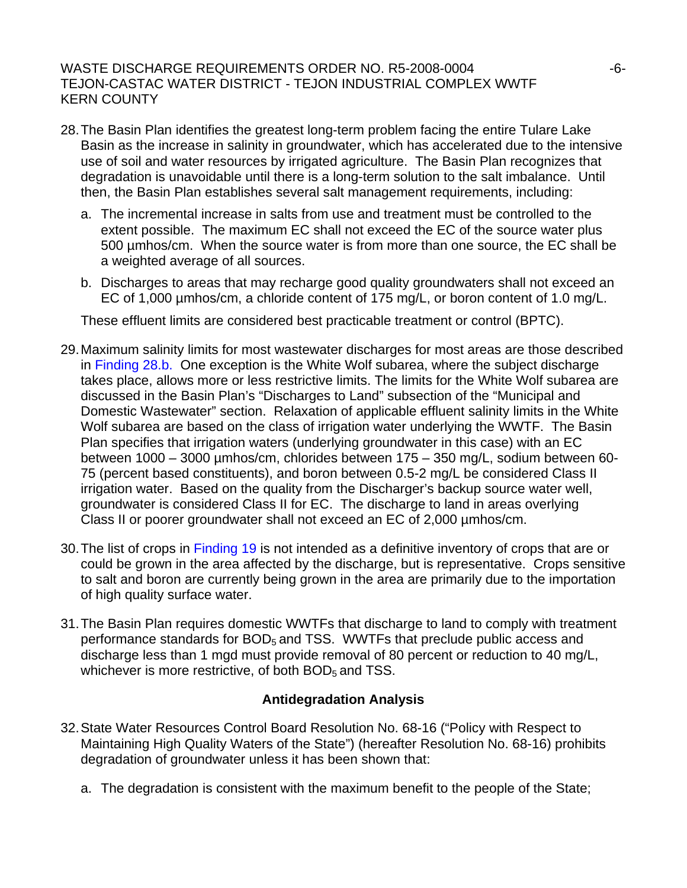# WASTE DISCHARGE REQUIREMENTS ORDER NO. R5-2008-0004  $-6$ -TEJON-CASTAC WATER DISTRICT - TEJON INDUSTRIAL COMPLEX WWTF KERN COUNTY

- 28. The Basin Plan identifies the greatest long-term problem facing the entire Tulare Lake Basin as the increase in salinity in groundwater, which has accelerated due to the intensive use of soil and water resources by irrigated agriculture. The Basin Plan recognizes that degradation is unavoidable until there is a long-term solution to the salt imbalance. Until then, the Basin Plan establishes several salt management requirements, including:
	- a. The incremental increase in salts from use and treatment must be controlled to the extent possible. The maximum EC shall not exceed the EC of the source water plus 500 µmhos/cm. When the source water is from more than one source, the EC shall be a weighted average of all sources.
	- b. Discharges to areas that may recharge good quality groundwaters shall not exceed an EC of 1,000 µmhos/cm, a chloride content of 175 mg/L, or boron content of 1.0 mg/L.

These effluent limits are considered best practicable treatment or control (BPTC).

- 29. Maximum salinity limits for most wastewater discharges for most areas are those described in Finding 28.b. One exception is the White Wolf subarea, where the subject discharge takes place, allows more or less restrictive limits. The limits for the White Wolf subarea are discussed in the Basin Plan's "Discharges to Land" subsection of the "Municipal and Domestic Wastewater" section. Relaxation of applicable effluent salinity limits in the White Wolf subarea are based on the class of irrigation water underlying the WWTF. The Basin Plan specifies that irrigation waters (underlying groundwater in this case) with an EC between 1000 – 3000 µmhos/cm, chlorides between 175 – 350 mg/L, sodium between 60- 75 (percent based constituents), and boron between 0.5-2 mg/L be considered Class II irrigation water. Based on the quality from the Discharger's backup source water well, groundwater is considered Class II for EC. The discharge to land in areas overlying Class II or poorer groundwater shall not exceed an EC of 2,000 µmhos/cm.
- 30. The list of crops in Finding 19 is not intended as a definitive inventory of crops that are or could be grown in the area affected by the discharge, but is representative. Crops sensitive to salt and boron are currently being grown in the area are primarily due to the importation of high quality surface water.
- 31. The Basin Plan requires domestic WWTFs that discharge to land to comply with treatment performance standards for  $BOD<sub>5</sub>$  and TSS. WWTFs that preclude public access and discharge less than 1 mgd must provide removal of 80 percent or reduction to 40 mg/L, whichever is more restrictive, of both  $BOD<sub>5</sub>$  and TSS.

# **Antidegradation Analysis**

- 32. State Water Resources Control Board Resolution No. 68-16 ("Policy with Respect to Maintaining High Quality Waters of the State") (hereafter Resolution No. 68-16) prohibits degradation of groundwater unless it has been shown that:
	- a. The degradation is consistent with the maximum benefit to the people of the State;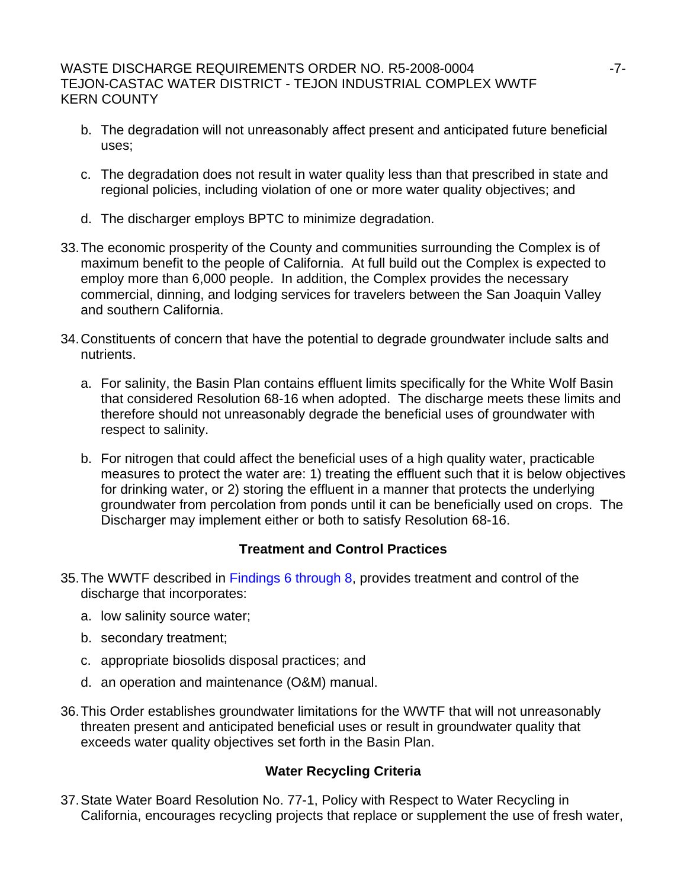# WASTE DISCHARGE REQUIREMENTS ORDER NO. R5-2008-0004  $-7$ -TEJON-CASTAC WATER DISTRICT - TEJON INDUSTRIAL COMPLEX WWTF KERN COUNTY

- b. The degradation will not unreasonably affect present and anticipated future beneficial uses;
- c. The degradation does not result in water quality less than that prescribed in state and regional policies, including violation of one or more water quality objectives; and
- d. The discharger employs BPTC to minimize degradation.
- 33. The economic prosperity of the County and communities surrounding the Complex is of maximum benefit to the people of California. At full build out the Complex is expected to employ more than 6,000 people. In addition, the Complex provides the necessary commercial, dinning, and lodging services for travelers between the San Joaquin Valley and southern California.
- 34. Constituents of concern that have the potential to degrade groundwater include salts and nutrients.
	- a. For salinity, the Basin Plan contains effluent limits specifically for the White Wolf Basin that considered Resolution 68-16 when adopted. The discharge meets these limits and therefore should not unreasonably degrade the beneficial uses of groundwater with respect to salinity.
	- b. For nitrogen that could affect the beneficial uses of a high quality water, practicable measures to protect the water are: 1) treating the effluent such that it is below objectives for drinking water, or 2) storing the effluent in a manner that protects the underlying groundwater from percolation from ponds until it can be beneficially used on crops. The Discharger may implement either or both to satisfy Resolution 68-16.

# **Treatment and Control Practices**

- 35. The WWTF described in Findings 6 through 8, provides treatment and control of the discharge that incorporates:
	- a. low salinity source water;
	- b. secondary treatment;
	- c. appropriate biosolids disposal practices; and
	- d. an operation and maintenance (O&M) manual.
- 36. This Order establishes groundwater limitations for the WWTF that will not unreasonably threaten present and anticipated beneficial uses or result in groundwater quality that exceeds water quality objectives set forth in the Basin Plan.

# **Water Recycling Criteria**

37. State Water Board Resolution No. 77-1, Policy with Respect to Water Recycling in California, encourages recycling projects that replace or supplement the use of fresh water,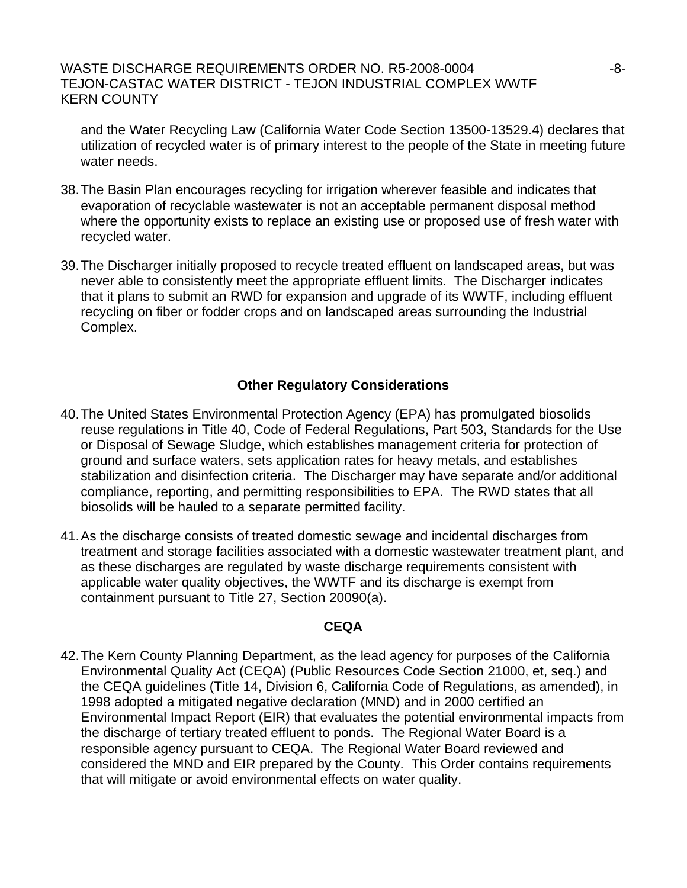## WASTE DISCHARGE REQUIREMENTS ORDER NO. R5-2008-0004  $-8$ -TEJON-CASTAC WATER DISTRICT - TEJON INDUSTRIAL COMPLEX WWTF KERN COUNTY

and the Water Recycling Law (California Water Code Section 13500-13529.4) declares that utilization of recycled water is of primary interest to the people of the State in meeting future water needs.

- 38. The Basin Plan encourages recycling for irrigation wherever feasible and indicates that evaporation of recyclable wastewater is not an acceptable permanent disposal method where the opportunity exists to replace an existing use or proposed use of fresh water with recycled water.
- 39. The Discharger initially proposed to recycle treated effluent on landscaped areas, but was never able to consistently meet the appropriate effluent limits. The Discharger indicates that it plans to submit an RWD for expansion and upgrade of its WWTF, including effluent recycling on fiber or fodder crops and on landscaped areas surrounding the Industrial Complex.

# **Other Regulatory Considerations**

- 40. The United States Environmental Protection Agency (EPA) has promulgated biosolids reuse regulations in Title 40, Code of Federal Regulations, Part 503, Standards for the Use or Disposal of Sewage Sludge, which establishes management criteria for protection of ground and surface waters, sets application rates for heavy metals, and establishes stabilization and disinfection criteria. The Discharger may have separate and/or additional compliance, reporting, and permitting responsibilities to EPA. The RWD states that all biosolids will be hauled to a separate permitted facility.
- 41. As the discharge consists of treated domestic sewage and incidental discharges from treatment and storage facilities associated with a domestic wastewater treatment plant, and as these discharges are regulated by waste discharge requirements consistent with applicable water quality objectives, the WWTF and its discharge is exempt from containment pursuant to Title 27, Section 20090(a).

#### **CEQA**

42. The Kern County Planning Department, as the lead agency for purposes of the California Environmental Quality Act (CEQA) (Public Resources Code Section 21000, et, seq.) and the CEQA guidelines (Title 14, Division 6, California Code of Regulations, as amended), in 1998 adopted a mitigated negative declaration (MND) and in 2000 certified an Environmental Impact Report (EIR) that evaluates the potential environmental impacts from the discharge of tertiary treated effluent to ponds. The Regional Water Board is a responsible agency pursuant to CEQA. The Regional Water Board reviewed and considered the MND and EIR prepared by the County. This Order contains requirements that will mitigate or avoid environmental effects on water quality.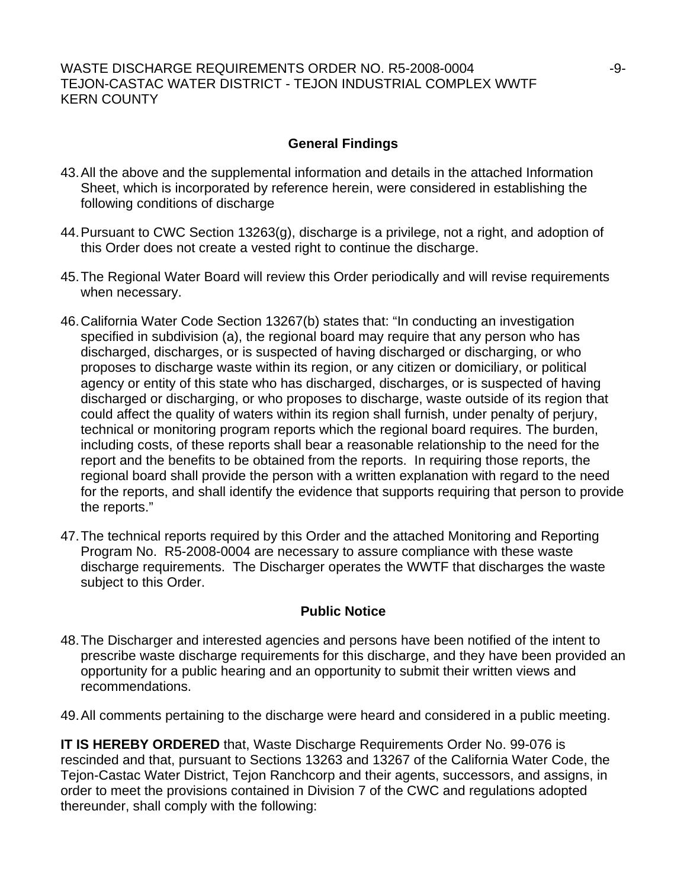# WASTE DISCHARGE REQUIREMENTS ORDER NO. R5-2008-0004  $-9$ -9-TEJON-CASTAC WATER DISTRICT - TEJON INDUSTRIAL COMPLEX WWTF KERN COUNTY

# **General Findings**

- 43. All the above and the supplemental information and details in the attached Information Sheet, which is incorporated by reference herein, were considered in establishing the following conditions of discharge
- 44. Pursuant to CWC Section 13263(g), discharge is a privilege, not a right, and adoption of this Order does not create a vested right to continue the discharge.
- 45. The Regional Water Board will review this Order periodically and will revise requirements when necessary.
- 46. California Water Code Section 13267(b) states that: "In conducting an investigation specified in subdivision (a), the regional board may require that any person who has discharged, discharges, or is suspected of having discharged or discharging, or who proposes to discharge waste within its region, or any citizen or domiciliary, or political agency or entity of this state who has discharged, discharges, or is suspected of having discharged or discharging, or who proposes to discharge, waste outside of its region that could affect the quality of waters within its region shall furnish, under penalty of perjury, technical or monitoring program reports which the regional board requires. The burden, including costs, of these reports shall bear a reasonable relationship to the need for the report and the benefits to be obtained from the reports. In requiring those reports, the regional board shall provide the person with a written explanation with regard to the need for the reports, and shall identify the evidence that supports requiring that person to provide the reports."
- 47. The technical reports required by this Order and the attached Monitoring and Reporting Program No. R5-2008-0004 are necessary to assure compliance with these waste discharge requirements. The Discharger operates the WWTF that discharges the waste subject to this Order.

# **Public Notice**

- 48. The Discharger and interested agencies and persons have been notified of the intent to prescribe waste discharge requirements for this discharge, and they have been provided an opportunity for a public hearing and an opportunity to submit their written views and recommendations.
- 49. All comments pertaining to the discharge were heard and considered in a public meeting.

**IT IS HEREBY ORDERED** that, Waste Discharge Requirements Order No. 99-076 is rescinded and that, pursuant to Sections 13263 and 13267 of the California Water Code, the Tejon-Castac Water District, Tejon Ranchcorp and their agents, successors, and assigns, in order to meet the provisions contained in Division 7 of the CWC and regulations adopted thereunder, shall comply with the following: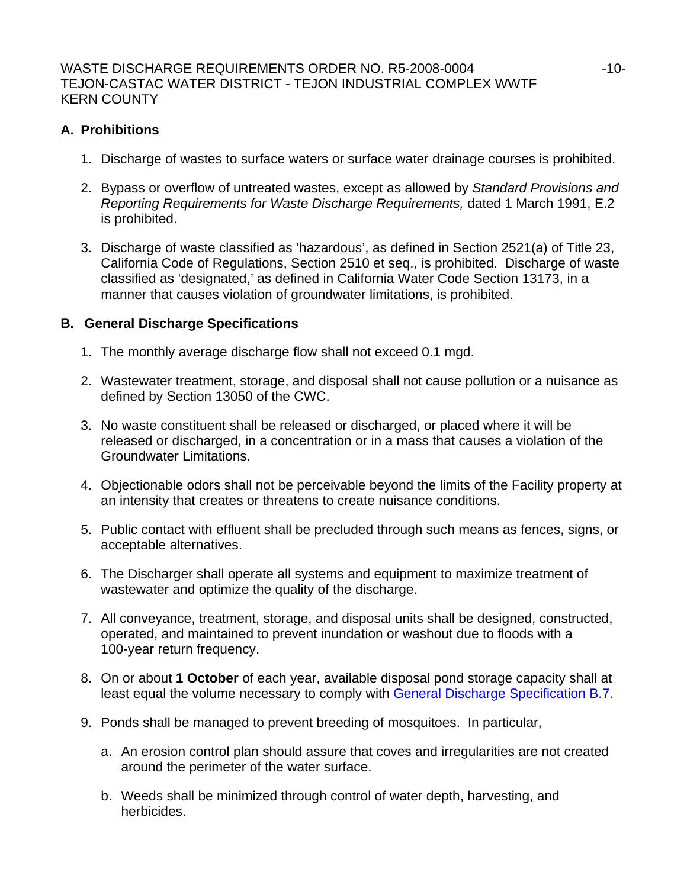# **A. Prohibitions**

- 1. Discharge of wastes to surface waters or surface water drainage courses is prohibited.
- 2. Bypass or overflow of untreated wastes, except as allowed by *Standard Provisions and Reporting Requirements for Waste Discharge Requirements,* dated 1 March 1991, E.2 is prohibited.
- 3. Discharge of waste classified as 'hazardous', as defined in Section 2521(a) of Title 23, California Code of Regulations, Section 2510 et seq., is prohibited. Discharge of waste classified as 'designated,' as defined in California Water Code Section 13173, in a manner that causes violation of groundwater limitations, is prohibited.

# **B. General Discharge Specifications**

- 1. The monthly average discharge flow shall not exceed 0.1 mgd.
- 2. Wastewater treatment, storage, and disposal shall not cause pollution or a nuisance as defined by Section 13050 of the CWC.
- 3. No waste constituent shall be released or discharged, or placed where it will be released or discharged, in a concentration or in a mass that causes a violation of the Groundwater Limitations.
- 4. Objectionable odors shall not be perceivable beyond the limits of the Facility property at an intensity that creates or threatens to create nuisance conditions.
- 5. Public contact with effluent shall be precluded through such means as fences, signs, or acceptable alternatives.
- 6. The Discharger shall operate all systems and equipment to maximize treatment of wastewater and optimize the quality of the discharge.
- 7. All conveyance, treatment, storage, and disposal units shall be designed, constructed, operated, and maintained to prevent inundation or washout due to floods with a 100-year return frequency.
- 8. On or about **1 October** of each year, available disposal pond storage capacity shall at least equal the volume necessary to comply with General Discharge Specification B.7.
- 9. Ponds shall be managed to prevent breeding of mosquitoes. In particular,
	- a. An erosion control plan should assure that coves and irregularities are not created around the perimeter of the water surface.
	- b. Weeds shall be minimized through control of water depth, harvesting, and herbicides.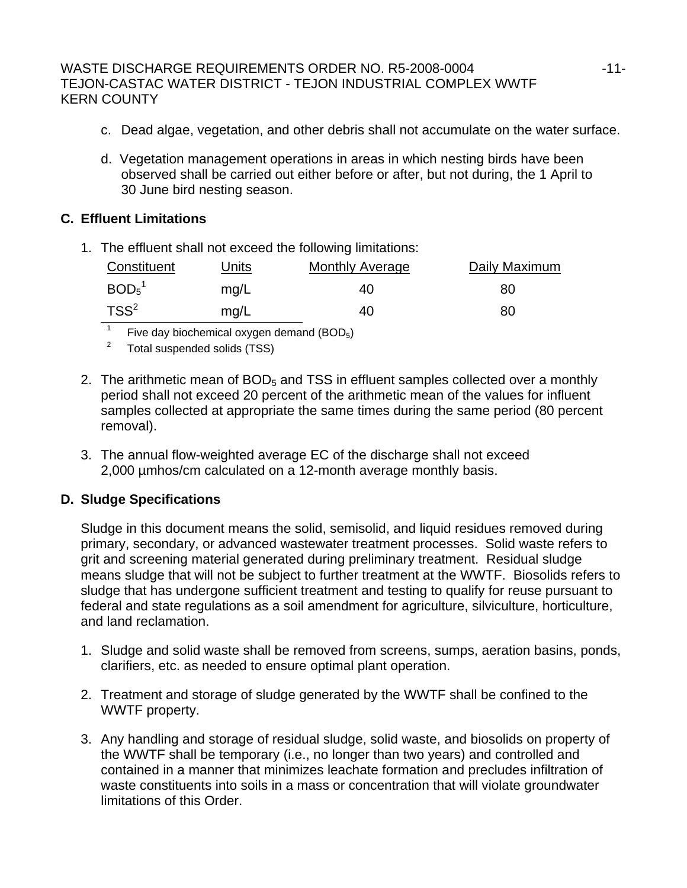# WASTE DISCHARGE REQUIREMENTS ORDER NO. R5-2008-0004  $-11$ -TEJON-CASTAC WATER DISTRICT - TEJON INDUSTRIAL COMPLEX WWTF KERN COUNTY

- c. Dead algae, vegetation, and other debris shall not accumulate on the water surface.
- d. Vegetation management operations in areas in which nesting birds have been observed shall be carried out either before or after, but not during, the 1 April to 30 June bird nesting season.

# **C. Effluent Limitations**

1. The effluent shall not exceed the following limitations:

| Constituent                   | Units | <b>Monthly Average</b> | Daily Maximum |
|-------------------------------|-------|------------------------|---------------|
| BOD <sub>5</sub> <sup>1</sup> | mq/L  | 40                     | 80            |
| $TSS^2$                       | mq/L  | 40                     | 80            |

1 Five day biochemical oxygen demand (BOD5)

2 Total suspended solids (TSS)

- 2. The arithmetic mean of  $BOD<sub>5</sub>$  and TSS in effluent samples collected over a monthly period shall not exceed 20 percent of the arithmetic mean of the values for influent samples collected at appropriate the same times during the same period (80 percent removal).
- 3. The annual flow-weighted average EC of the discharge shall not exceed 2,000 µmhos/cm calculated on a 12-month average monthly basis.

# **D. Sludge Specifications**

Sludge in this document means the solid, semisolid, and liquid residues removed during primary, secondary, or advanced wastewater treatment processes. Solid waste refers to grit and screening material generated during preliminary treatment. Residual sludge means sludge that will not be subject to further treatment at the WWTF. Biosolids refers to sludge that has undergone sufficient treatment and testing to qualify for reuse pursuant to federal and state regulations as a soil amendment for agriculture, silviculture, horticulture, and land reclamation.

- 1. Sludge and solid waste shall be removed from screens, sumps, aeration basins, ponds, clarifiers, etc. as needed to ensure optimal plant operation.
- 2. Treatment and storage of sludge generated by the WWTF shall be confined to the WWTF property.
- 3. Any handling and storage of residual sludge, solid waste, and biosolids on property of the WWTF shall be temporary (i.e., no longer than two years) and controlled and contained in a manner that minimizes leachate formation and precludes infiltration of waste constituents into soils in a mass or concentration that will violate groundwater limitations of this Order.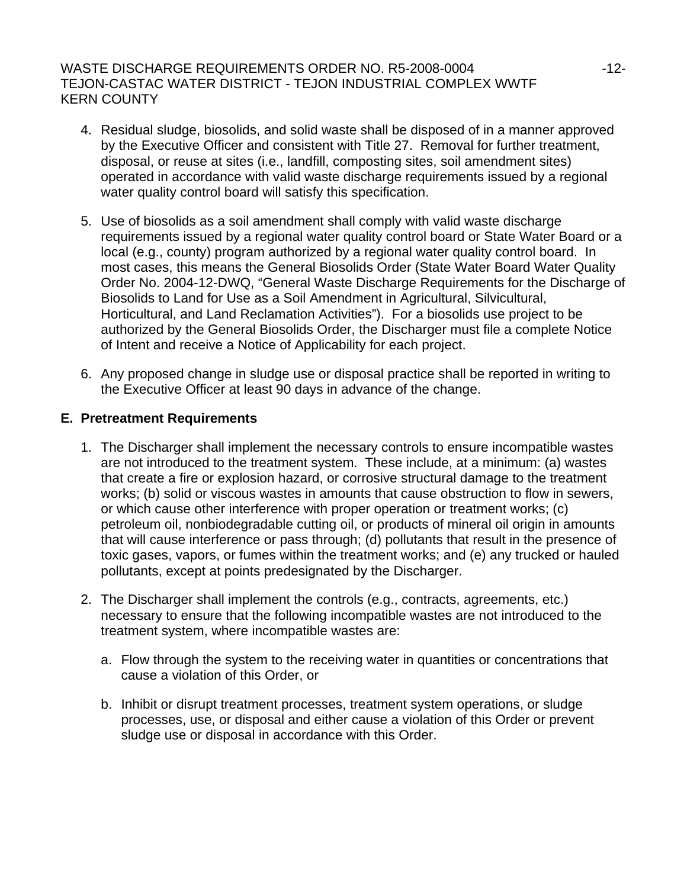# WASTE DISCHARGE REQUIREMENTS ORDER NO. R5-2008-0004  $-12$ -12-TEJON-CASTAC WATER DISTRICT - TEJON INDUSTRIAL COMPLEX WWTF KERN COUNTY

- 4. Residual sludge, biosolids, and solid waste shall be disposed of in a manner approved by the Executive Officer and consistent with Title 27. Removal for further treatment, disposal, or reuse at sites (i.e., landfill, composting sites, soil amendment sites) operated in accordance with valid waste discharge requirements issued by a regional water quality control board will satisfy this specification.
- 5. Use of biosolids as a soil amendment shall comply with valid waste discharge requirements issued by a regional water quality control board or State Water Board or a local (e.g., county) program authorized by a regional water quality control board. In most cases, this means the General Biosolids Order (State Water Board Water Quality Order No. 2004-12-DWQ, "General Waste Discharge Requirements for the Discharge of Biosolids to Land for Use as a Soil Amendment in Agricultural, Silvicultural, Horticultural, and Land Reclamation Activities"). For a biosolids use project to be authorized by the General Biosolids Order, the Discharger must file a complete Notice of Intent and receive a Notice of Applicability for each project.
- 6. Any proposed change in sludge use or disposal practice shall be reported in writing to the Executive Officer at least 90 days in advance of the change.

# **E. Pretreatment Requirements**

- 1. The Discharger shall implement the necessary controls to ensure incompatible wastes are not introduced to the treatment system. These include, at a minimum: (a) wastes that create a fire or explosion hazard, or corrosive structural damage to the treatment works; (b) solid or viscous wastes in amounts that cause obstruction to flow in sewers, or which cause other interference with proper operation or treatment works; (c) petroleum oil, nonbiodegradable cutting oil, or products of mineral oil origin in amounts that will cause interference or pass through; (d) pollutants that result in the presence of toxic gases, vapors, or fumes within the treatment works; and (e) any trucked or hauled pollutants, except at points predesignated by the Discharger.
- 2. The Discharger shall implement the controls (e.g., contracts, agreements, etc.) necessary to ensure that the following incompatible wastes are not introduced to the treatment system, where incompatible wastes are:
	- a. Flow through the system to the receiving water in quantities or concentrations that cause a violation of this Order, or
	- b. Inhibit or disrupt treatment processes, treatment system operations, or sludge processes, use, or disposal and either cause a violation of this Order or prevent sludge use or disposal in accordance with this Order.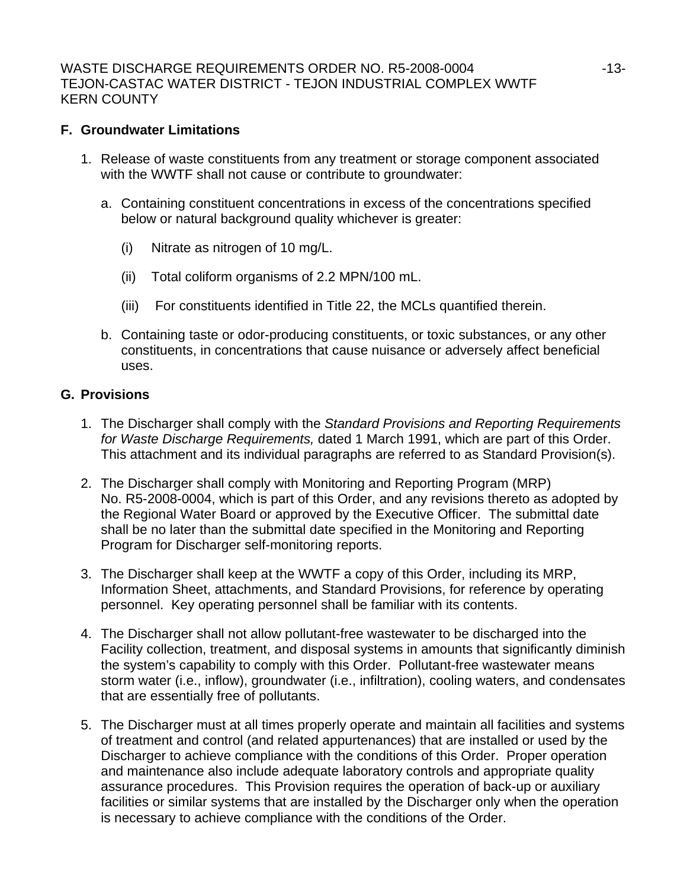# **F. Groundwater Limitations**

- 1. Release of waste constituents from any treatment or storage component associated with the WWTF shall not cause or contribute to groundwater:
	- a. Containing constituent concentrations in excess of the concentrations specified below or natural background quality whichever is greater:
		- (i) Nitrate as nitrogen of 10 mg/L.
		- (ii) Total coliform organisms of 2.2 MPN/100 mL.
		- (iii) For constituents identified in Title 22, the MCLs quantified therein.
	- b. Containing taste or odor-producing constituents, or toxic substances, or any other constituents, in concentrations that cause nuisance or adversely affect beneficial uses.

# **G. Provisions**

- 1. The Discharger shall comply with the *Standard Provisions and Reporting Requirements for Waste Discharge Requirements,* dated 1 March 1991, which are part of this Order. This attachment and its individual paragraphs are referred to as Standard Provision(s).
- 2. The Discharger shall comply with Monitoring and Reporting Program (MRP) No. R5-2008-0004, which is part of this Order, and any revisions thereto as adopted by the Regional Water Board or approved by the Executive Officer. The submittal date shall be no later than the submittal date specified in the Monitoring and Reporting Program for Discharger self-monitoring reports.
- 3. The Discharger shall keep at the WWTF a copy of this Order, including its MRP, Information Sheet, attachments, and Standard Provisions, for reference by operating personnel. Key operating personnel shall be familiar with its contents.
- 4. The Discharger shall not allow pollutant-free wastewater to be discharged into the Facility collection, treatment, and disposal systems in amounts that significantly diminish the system's capability to comply with this Order. Pollutant-free wastewater means storm water (i.e., inflow), groundwater (i.e., infiltration), cooling waters, and condensates that are essentially free of pollutants.
- 5. The Discharger must at all times properly operate and maintain all facilities and systems of treatment and control (and related appurtenances) that are installed or used by the Discharger to achieve compliance with the conditions of this Order. Proper operation and maintenance also include adequate laboratory controls and appropriate quality assurance procedures. This Provision requires the operation of back-up or auxiliary facilities or similar systems that are installed by the Discharger only when the operation is necessary to achieve compliance with the conditions of the Order.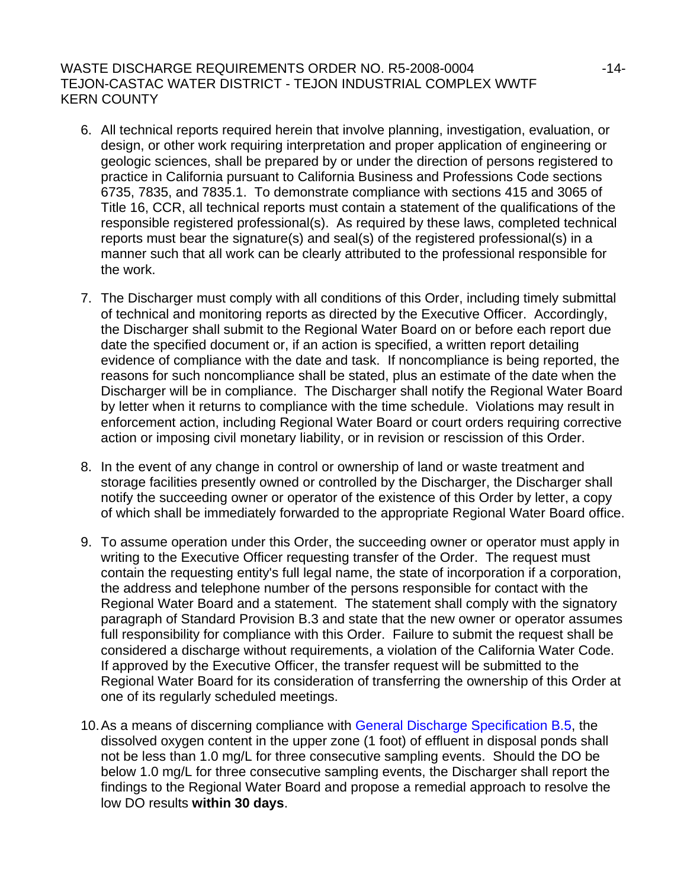# WASTE DISCHARGE REQUIREMENTS ORDER NO. R5-2008-0004  $-14$ -TEJON-CASTAC WATER DISTRICT - TEJON INDUSTRIAL COMPLEX WWTF KERN COUNTY

- 6. All technical reports required herein that involve planning, investigation, evaluation, or design, or other work requiring interpretation and proper application of engineering or geologic sciences, shall be prepared by or under the direction of persons registered to practice in California pursuant to California Business and Professions Code sections 6735, 7835, and 7835.1. To demonstrate compliance with sections 415 and 3065 of Title 16, CCR, all technical reports must contain a statement of the qualifications of the responsible registered professional(s). As required by these laws, completed technical reports must bear the signature(s) and seal(s) of the registered professional(s) in a manner such that all work can be clearly attributed to the professional responsible for the work.
- 7. The Discharger must comply with all conditions of this Order, including timely submittal of technical and monitoring reports as directed by the Executive Officer. Accordingly, the Discharger shall submit to the Regional Water Board on or before each report due date the specified document or, if an action is specified, a written report detailing evidence of compliance with the date and task. If noncompliance is being reported, the reasons for such noncompliance shall be stated, plus an estimate of the date when the Discharger will be in compliance. The Discharger shall notify the Regional Water Board by letter when it returns to compliance with the time schedule. Violations may result in enforcement action, including Regional Water Board or court orders requiring corrective action or imposing civil monetary liability, or in revision or rescission of this Order.
- 8. In the event of any change in control or ownership of land or waste treatment and storage facilities presently owned or controlled by the Discharger, the Discharger shall notify the succeeding owner or operator of the existence of this Order by letter, a copy of which shall be immediately forwarded to the appropriate Regional Water Board office.
- 9. To assume operation under this Order, the succeeding owner or operator must apply in writing to the Executive Officer requesting transfer of the Order. The request must contain the requesting entity's full legal name, the state of incorporation if a corporation, the address and telephone number of the persons responsible for contact with the Regional Water Board and a statement. The statement shall comply with the signatory paragraph of Standard Provision B.3 and state that the new owner or operator assumes full responsibility for compliance with this Order. Failure to submit the request shall be considered a discharge without requirements, a violation of the California Water Code. If approved by the Executive Officer, the transfer request will be submitted to the Regional Water Board for its consideration of transferring the ownership of this Order at one of its regularly scheduled meetings.
- 10. As a means of discerning compliance with General Discharge Specification B.5, the dissolved oxygen content in the upper zone (1 foot) of effluent in disposal ponds shall not be less than 1.0 mg/L for three consecutive sampling events. Should the DO be below 1.0 mg/L for three consecutive sampling events, the Discharger shall report the findings to the Regional Water Board and propose a remedial approach to resolve the low DO results **within 30 days**.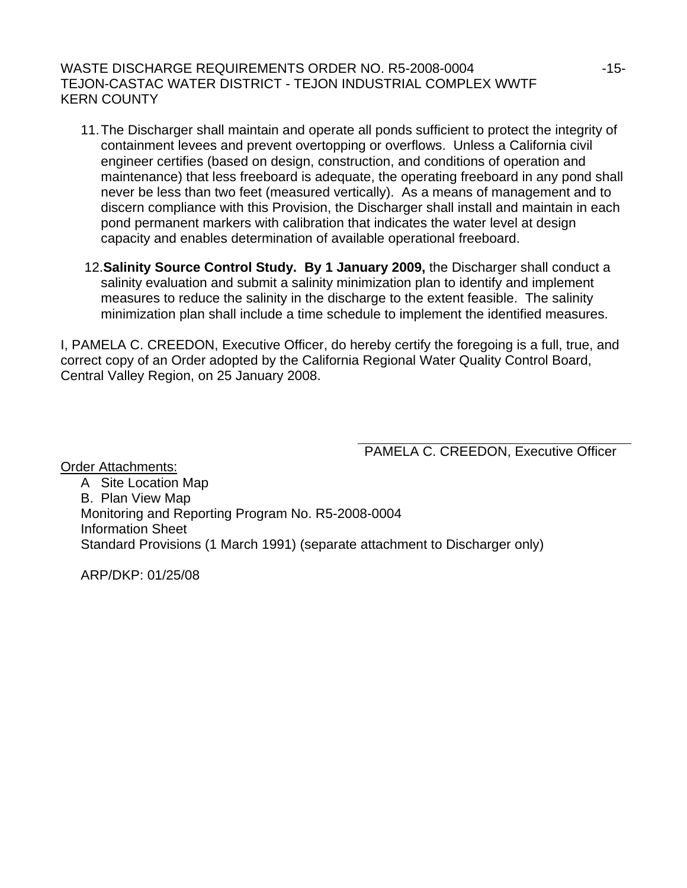## WASTE DISCHARGE REQUIREMENTS ORDER NO. R5-2008-0004  $-15$ -15-TEJON-CASTAC WATER DISTRICT - TEJON INDUSTRIAL COMPLEX WWTF KERN COUNTY

- 11. The Discharger shall maintain and operate all ponds sufficient to protect the integrity of containment levees and prevent overtopping or overflows. Unless a California civil engineer certifies (based on design, construction, and conditions of operation and maintenance) that less freeboard is adequate, the operating freeboard in any pond shall never be less than two feet (measured vertically). As a means of management and to discern compliance with this Provision, the Discharger shall install and maintain in each pond permanent markers with calibration that indicates the water level at design capacity and enables determination of available operational freeboard.
- 12.**Salinity Source Control Study. By 1 January 2009,** the Discharger shall conduct a salinity evaluation and submit a salinity minimization plan to identify and implement measures to reduce the salinity in the discharge to the extent feasible. The salinity minimization plan shall include a time schedule to implement the identified measures.

I, PAMELA C. CREEDON, Executive Officer, do hereby certify the foregoing is a full, true, and correct copy of an Order adopted by the California Regional Water Quality Control Board, Central Valley Region, on 25 January 2008.

PAMELA C. CREEDON, Executive Officer

Order Attachments: A Site Location Map B. Plan View Map Monitoring and Reporting Program No. R5-2008-0004 Information Sheet Standard Provisions (1 March 1991) (separate attachment to Discharger only)

ARP/DKP: 01/25/08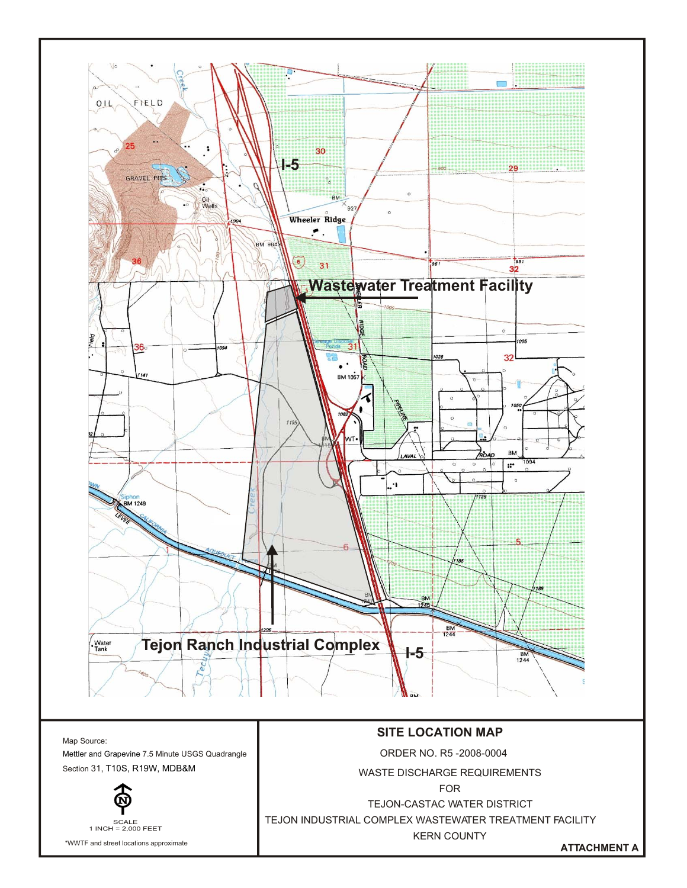

FOR

TEJON-CASTAC WATER DISTRICT

SCALE 1 INCH = 2,000 FEET

\*WWTF and street locations approximate

TEJON INDUSTRIAL COMPLEX WASTEWATER TREATMENT FACILITY KERN COUNTY

**ATTACHMENT A**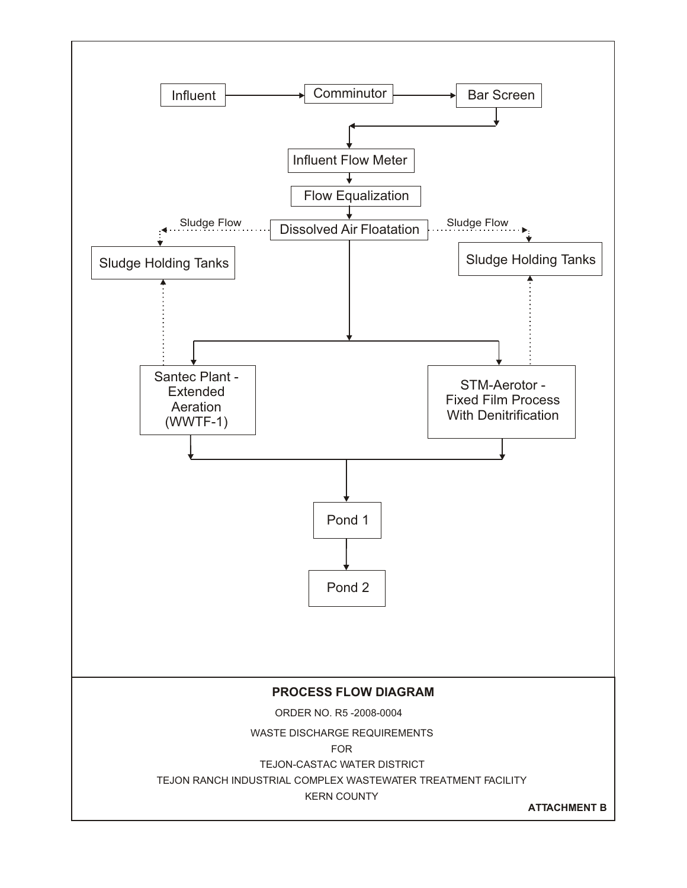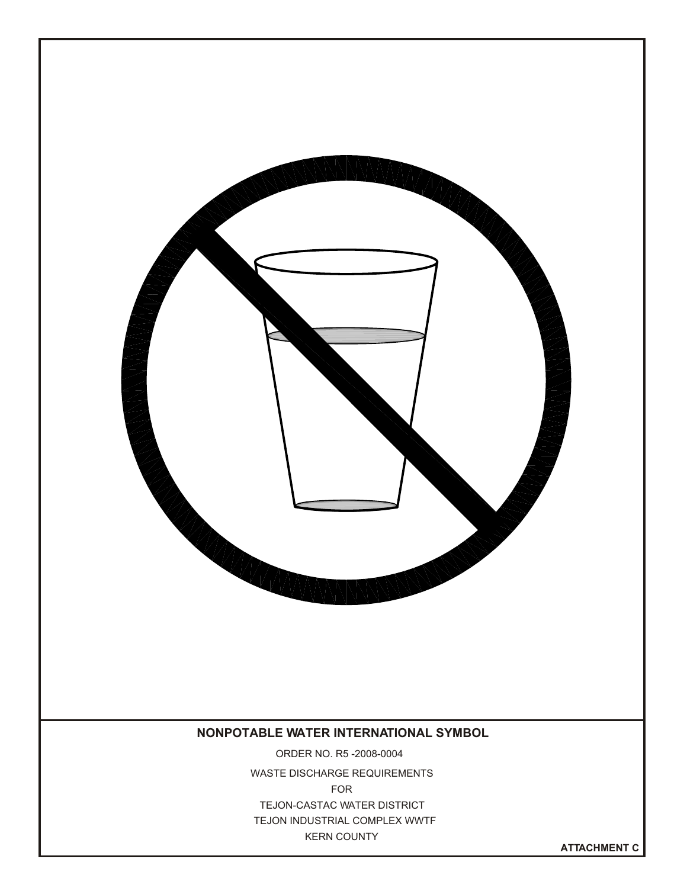

**ATTACHMENT C**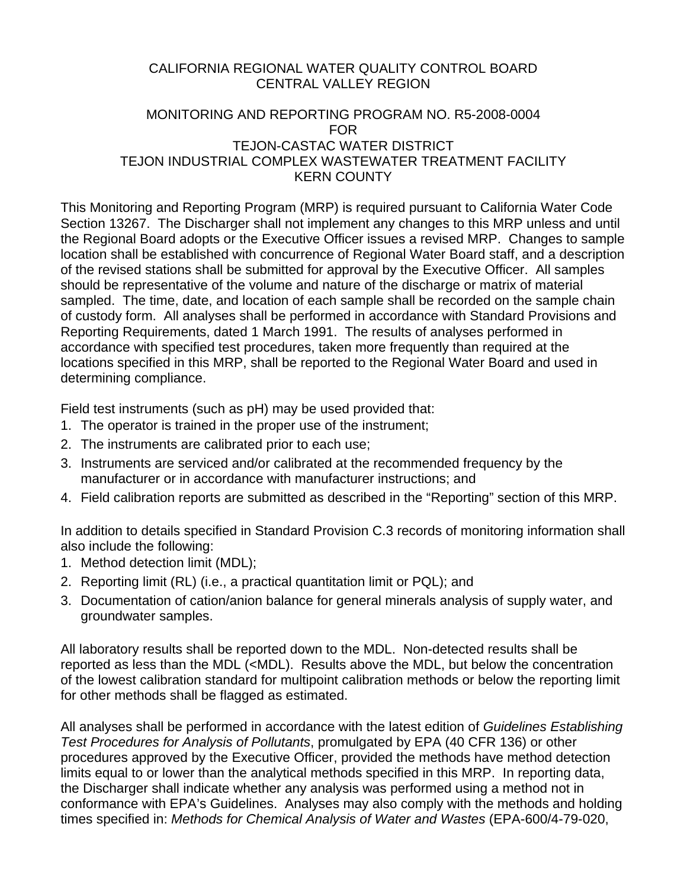# CALIFORNIA REGIONAL WATER QUALITY CONTROL BOARD CENTRAL VALLEY REGION

# MONITORING AND REPORTING PROGRAM NO. R5-2008-0004 FOR TEJON-CASTAC WATER DISTRICT TEJON INDUSTRIAL COMPLEX WASTEWATER TREATMENT FACILITY KERN COUNTY

This Monitoring and Reporting Program (MRP) is required pursuant to California Water Code Section 13267. The Discharger shall not implement any changes to this MRP unless and until the Regional Board adopts or the Executive Officer issues a revised MRP. Changes to sample location shall be established with concurrence of Regional Water Board staff, and a description of the revised stations shall be submitted for approval by the Executive Officer. All samples should be representative of the volume and nature of the discharge or matrix of material sampled. The time, date, and location of each sample shall be recorded on the sample chain of custody form. All analyses shall be performed in accordance with Standard Provisions and Reporting Requirements, dated 1 March 1991. The results of analyses performed in accordance with specified test procedures, taken more frequently than required at the locations specified in this MRP, shall be reported to the Regional Water Board and used in determining compliance.

Field test instruments (such as pH) may be used provided that:

- 1. The operator is trained in the proper use of the instrument;
- 2. The instruments are calibrated prior to each use;
- 3. Instruments are serviced and/or calibrated at the recommended frequency by the manufacturer or in accordance with manufacturer instructions; and
- 4. Field calibration reports are submitted as described in the "Reporting" section of this MRP.

In addition to details specified in Standard Provision C.3 records of monitoring information shall also include the following:

- 1. Method detection limit (MDL);
- 2. Reporting limit (RL) (i.e., a practical quantitation limit or PQL); and
- 3. Documentation of cation/anion balance for general minerals analysis of supply water, and groundwater samples.

All laboratory results shall be reported down to the MDL. Non-detected results shall be reported as less than the MDL (<MDL). Results above the MDL, but below the concentration of the lowest calibration standard for multipoint calibration methods or below the reporting limit for other methods shall be flagged as estimated.

All analyses shall be performed in accordance with the latest edition of *Guidelines Establishing Test Procedures for Analysis of Pollutants*, promulgated by EPA (40 CFR 136) or other procedures approved by the Executive Officer, provided the methods have method detection limits equal to or lower than the analytical methods specified in this MRP. In reporting data, the Discharger shall indicate whether any analysis was performed using a method not in conformance with EPA's Guidelines. Analyses may also comply with the methods and holding times specified in: *Methods for Chemical Analysis of Water and Wastes* (EPA-600/4-79-020,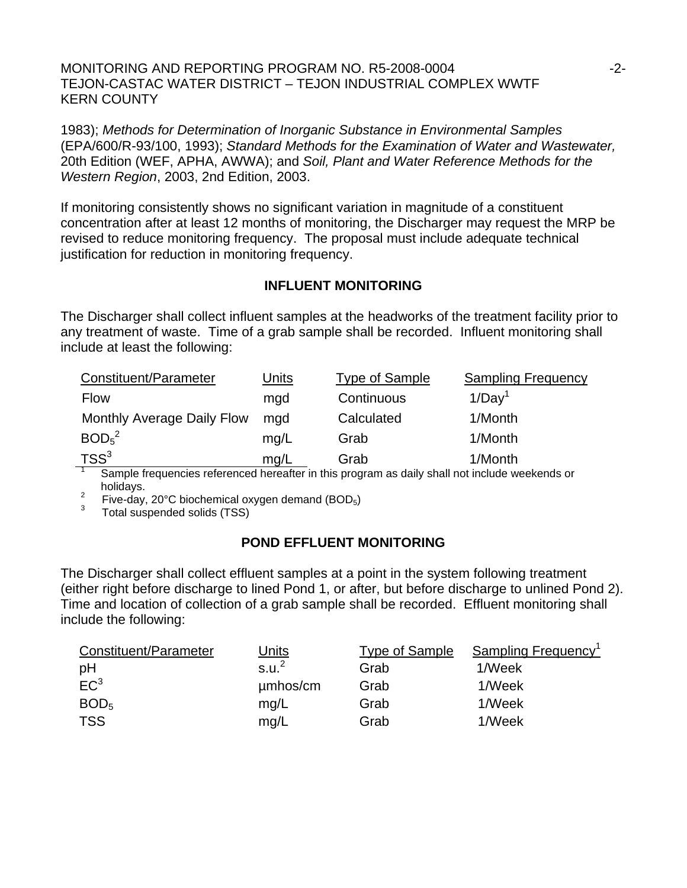MONITORING AND REPORTING PROGRAM NO. R5-2008-0004  $-2$ -TEJON-CASTAC WATER DISTRICT – TEJON INDUSTRIAL COMPLEX WWTF KERN COUNTY

1983); *Methods for Determination of Inorganic Substance in Environmental Samples* (EPA/600/R-93/100, 1993); *Standard Methods for the Examination of Water and Wastewater,* 20th Edition (WEF, APHA, AWWA); and *Soil, Plant and Water Reference Methods for the Western Region*, 2003, 2nd Edition, 2003.

If monitoring consistently shows no significant variation in magnitude of a constituent concentration after at least 12 months of monitoring, the Discharger may request the MRP be revised to reduce monitoring frequency. The proposal must include adequate technical justification for reduction in monitoring frequency.

### **INFLUENT MONITORING**

The Discharger shall collect influent samples at the headworks of the treatment facility prior to any treatment of waste. Time of a grab sample shall be recorded. Influent monitoring shall include at least the following:

| Constituent/Parameter                                                                          | Units | <b>Type of Sample</b> | <b>Sampling Frequency</b> |  |  |
|------------------------------------------------------------------------------------------------|-------|-----------------------|---------------------------|--|--|
| <b>Flow</b>                                                                                    | mgd   | Continuous            | 1/Day <sup>1</sup>        |  |  |
| <b>Monthly Average Daily Flow</b>                                                              | mgd   | Calculated            | 1/Month                   |  |  |
| BOD <sub>5</sub> <sup>2</sup>                                                                  | mq/L  | Grab                  | 1/Month                   |  |  |
| TSS <sup>3</sup>                                                                               | mq/L  | Grab                  | 1/Month                   |  |  |
| Comple froquencies referenced bereafter in this program as doily aboll not include weekende or |       |                       |                           |  |  |

 Sample frequencies referenced hereafter in this program as daily shall not include weekends or holidays.

Five-day, 20°C biochemical oxygen demand (BOD<sub>5</sub>)<sup>3</sup> Total quanonidad colide (TSS)</sub><sup>3</sup>

Total suspended solids (TSS)

# **POND EFFLUENT MONITORING**

The Discharger shall collect effluent samples at a point in the system following treatment (either right before discharge to lined Pond 1, or after, but before discharge to unlined Pond 2). Time and location of collection of a grab sample shall be recorded. Effluent monitoring shall include the following:

| Constituent/Parameter | <u>Units</u>      | Type of Sample | Sampling Frequency <sup>1</sup> |
|-----------------------|-------------------|----------------|---------------------------------|
| pH                    | s.u. <sup>2</sup> | Grab           | 1/Week                          |
| EC <sup>3</sup>       | umhos/cm          | Grab           | 1/Week                          |
| BOD <sub>5</sub>      | mq/L              | Grab           | 1/Week                          |
| <b>TSS</b>            | mg/L              | Grab           | 1/Week                          |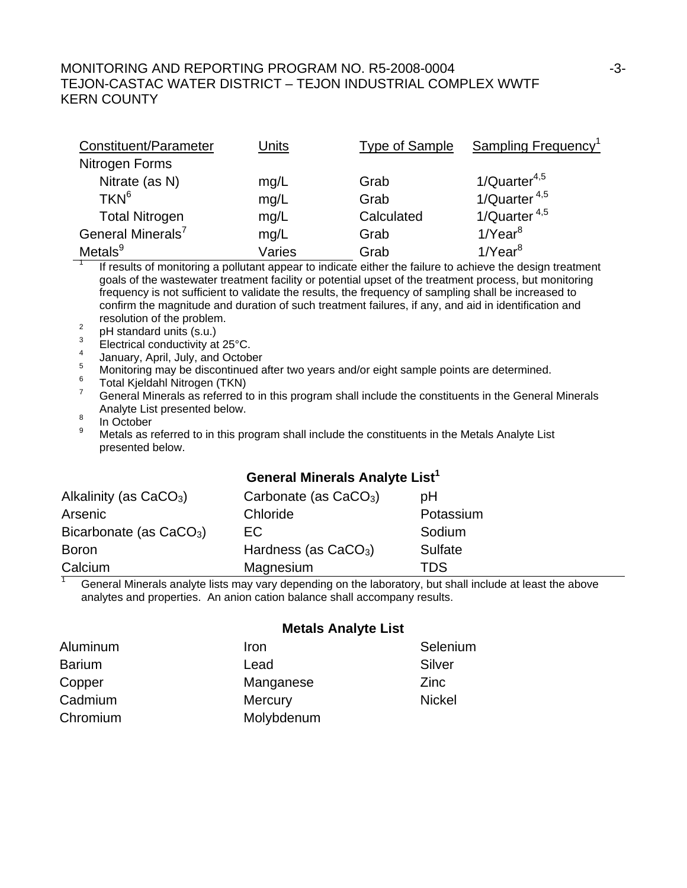# MONITORING AND REPORTING PROGRAM NO. R5-2008-0004  $-3$ -3-TEJON-CASTAC WATER DISTRICT – TEJON INDUSTRIAL COMPLEX WWTF KERN COUNTY

| Constituent/Parameter         | Units  | <b>Type of Sample</b> | <b>Sampling Frequency</b> <sup>1</sup> |
|-------------------------------|--------|-----------------------|----------------------------------------|
| Nitrogen Forms                |        |                       |                                        |
| Nitrate (as N)                | mg/L   | Grab                  | $1/Q$ uarter <sup>4,5</sup>            |
| TKN <sup>6</sup>              | mg/L   | Grab                  | $1/Q$ uarter $4,5$                     |
| <b>Total Nitrogen</b>         | mg/L   | Calculated            | 1/Quarter $4,5$                        |
| General Minerals <sup>7</sup> | mg/L   | Grab                  | $1$ /Year $^8$                         |
| Metals <sup>9</sup>           | Varies | Grab                  | $1$ /Year $^8$                         |

 If results of monitoring a pollutant appear to indicate either the failure to achieve the design treatment goals of the wastewater treatment facility or potential upset of the treatment process, but monitoring frequency is not sufficient to validate the results, the frequency of sampling shall be increased to confirm the magnitude and duration of such treatment failures, if any, and aid in identification and resolution of the problem.

- pH standard units (s.u.)
- 3 Electrical conductivity at 25°C.
- 4 January, April, July, and October
- 5 Monitoring may be discontinued after two years and/or eight sample points are determined.
- Total Kjeldahl Nitrogen (TKN)
- 7 General Minerals as referred to in this program shall include the constituents in the General Minerals Analyte List presented below.
- In October

1

9 Metals as referred to in this program shall include the constituents in the Metals Analyte List presented below.

# **General Minerals Analyte List<sup>1</sup>**

| Alkalinity (as $CaCO3$ )                                                                      | Carbonate (as $CaCO3$ ) | рH        |  |  |  |
|-----------------------------------------------------------------------------------------------|-------------------------|-----------|--|--|--|
| Arsenic                                                                                       | Chloride                | Potassium |  |  |  |
| Bicarbonate (as $CaCO3$ )                                                                     | EC.                     | Sodium    |  |  |  |
| <b>Boron</b>                                                                                  | Hardness (as $CaCO3$ )  | Sulfate   |  |  |  |
| Calcium                                                                                       | Magnesium               | TDS       |  |  |  |
| Concret Minerals anglute ligte moussens depending on the laboratory but aboll include at leas |                         |           |  |  |  |

 General Minerals analyte lists may vary depending on the laboratory, but shall include at least the above analytes and properties. An anion cation balance shall accompany results.

#### **Metals Analyte List**

| Aluminum      | Iron       | Selenium      |
|---------------|------------|---------------|
| <b>Barium</b> | Lead       | Silver        |
| Copper        | Manganese  | Zinc          |
| Cadmium       | Mercury    | <b>Nickel</b> |
| Chromium      | Molybdenum |               |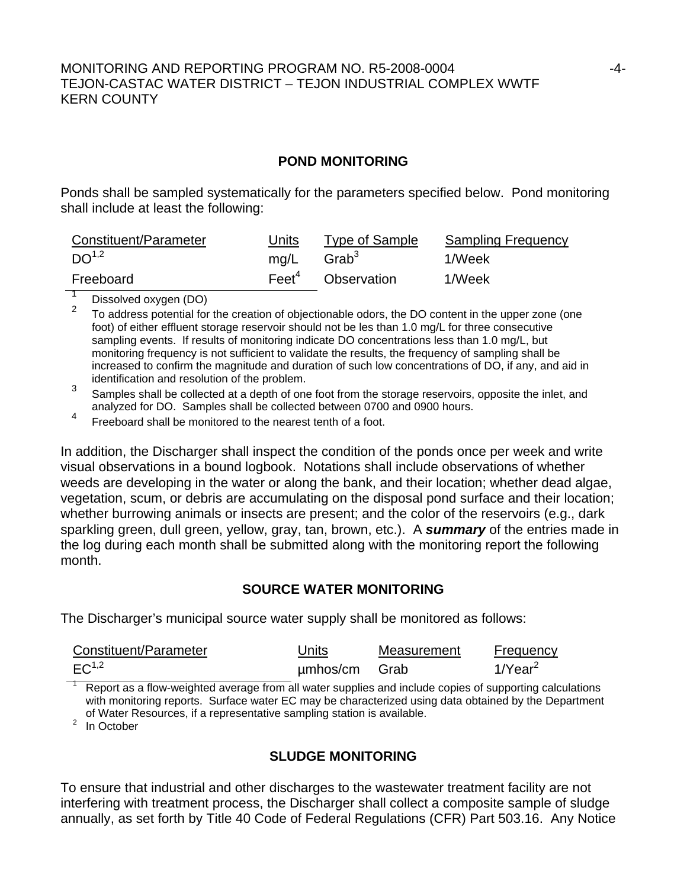# MONITORING AND REPORTING PROGRAM NO. R5-2008-0004 -4- TEJON-CASTAC WATER DISTRICT – TEJON INDUSTRIAL COMPLEX WWTF KERN COUNTY

### **POND MONITORING**

Ponds shall be sampled systematically for the parameters specified below. Pond monitoring shall include at least the following:

| Constituent/Parameter | Units                  | Type of Sample                | <b>Sampling Frequency</b> |
|-----------------------|------------------------|-------------------------------|---------------------------|
| D <sup>1,2</sup>      | ma/L Grab <sup>3</sup> |                               | 1/Week                    |
| Freeboard             |                        | Feet <sup>4</sup> Observation | 1/Week                    |

 $\frac{1}{2}$  Dissolved oxygen (DO)

<sup>2</sup> To address potential for the creation of objectionable odors, the DO content in the upper zone (one foot) of either effluent storage reservoir should not be les than 1.0 mg/L for three consecutive sampling events. If results of monitoring indicate DO concentrations less than 1.0 mg/L, but monitoring frequency is not sufficient to validate the results, the frequency of sampling shall be increased to confirm the magnitude and duration of such low concentrations of DO, if any, and aid in identification and resolution of the problem.

- <sup>3</sup> Samples shall be collected at a depth of one foot from the storage reservoirs, opposite the inlet, and analyzed for DO. Samples shall be collected between 0700 and 0900 hours.
- <sup>4</sup> Freeboard shall be monitored to the nearest tenth of a foot.

In addition, the Discharger shall inspect the condition of the ponds once per week and write visual observations in a bound logbook. Notations shall include observations of whether weeds are developing in the water or along the bank, and their location; whether dead algae, vegetation, scum, or debris are accumulating on the disposal pond surface and their location; whether burrowing animals or insects are present; and the color of the reservoirs (e.g., dark sparkling green, dull green, yellow, gray, tan, brown, etc.). A *summary* of the entries made in the log during each month shall be submitted along with the monitoring report the following month.

# **SOURCE WATER MONITORING**

The Discharger's municipal source water supply shall be monitored as follows:

| Constituent/Parameter                                                                              | Units    | Measurement | <b>Frequency</b>       |
|----------------------------------------------------------------------------------------------------|----------|-------------|------------------------|
| $EC^{1,2}$                                                                                         | umhos/cm | Grab        | $1$ /Year <sup>2</sup> |
| Penet as a flow-weighted average from all water supplies and include copies of supporting calculat |          |             |                        |

 Report as a flow-weighted average from all water supplies and include copies of supporting calculations with monitoring reports. Surface water EC may be characterized using data obtained by the Department of Water Resources, if a representative sampling station is available.<br><sup>2</sup> In October

In October

# **SLUDGE MONITORING**

To ensure that industrial and other discharges to the wastewater treatment facility are not interfering with treatment process, the Discharger shall collect a composite sample of sludge annually, as set forth by Title 40 Code of Federal Regulations (CFR) Part 503.16. Any Notice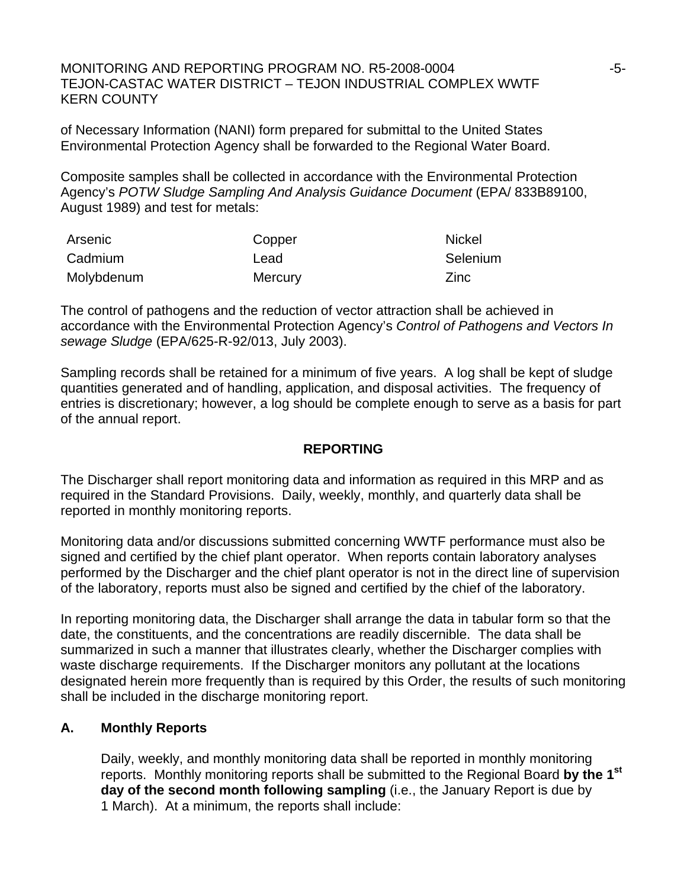MONITORING AND REPORTING PROGRAM NO. R5-2008-0004  $-5$ - $5$ - $-$ TEJON-CASTAC WATER DISTRICT – TEJON INDUSTRIAL COMPLEX WWTF KERN COUNTY

of Necessary Information (NANI) form prepared for submittal to the United States Environmental Protection Agency shall be forwarded to the Regional Water Board.

Composite samples shall be collected in accordance with the Environmental Protection Agency's *POTW Sludge Sampling And Analysis Guidance Document* (EPA/ 833B89100, August 1989) and test for metals:

| Arsenic    | Copper  | <b>Nickel</b> |
|------------|---------|---------------|
| Cadmium    | Lead    | Selenium      |
| Molybdenum | Mercury | Zinc          |

The control of pathogens and the reduction of vector attraction shall be achieved in accordance with the Environmental Protection Agency's *Control of Pathogens and Vectors In sewage Sludge* (EPA/625-R-92/013, July 2003).

Sampling records shall be retained for a minimum of five years. A log shall be kept of sludge quantities generated and of handling, application, and disposal activities. The frequency of entries is discretionary; however, a log should be complete enough to serve as a basis for part of the annual report.

# **REPORTING**

The Discharger shall report monitoring data and information as required in this MRP and as required in the Standard Provisions. Daily, weekly, monthly, and quarterly data shall be reported in monthly monitoring reports.

Monitoring data and/or discussions submitted concerning WWTF performance must also be signed and certified by the chief plant operator. When reports contain laboratory analyses performed by the Discharger and the chief plant operator is not in the direct line of supervision of the laboratory, reports must also be signed and certified by the chief of the laboratory.

In reporting monitoring data, the Discharger shall arrange the data in tabular form so that the date, the constituents, and the concentrations are readily discernible. The data shall be summarized in such a manner that illustrates clearly, whether the Discharger complies with waste discharge requirements. If the Discharger monitors any pollutant at the locations designated herein more frequently than is required by this Order, the results of such monitoring shall be included in the discharge monitoring report.

# **A. Monthly Reports**

Daily, weekly, and monthly monitoring data shall be reported in monthly monitoring reports. Monthly monitoring reports shall be submitted to the Regional Board **by the 1st day of the second month following sampling** (i.e., the January Report is due by 1 March). At a minimum, the reports shall include: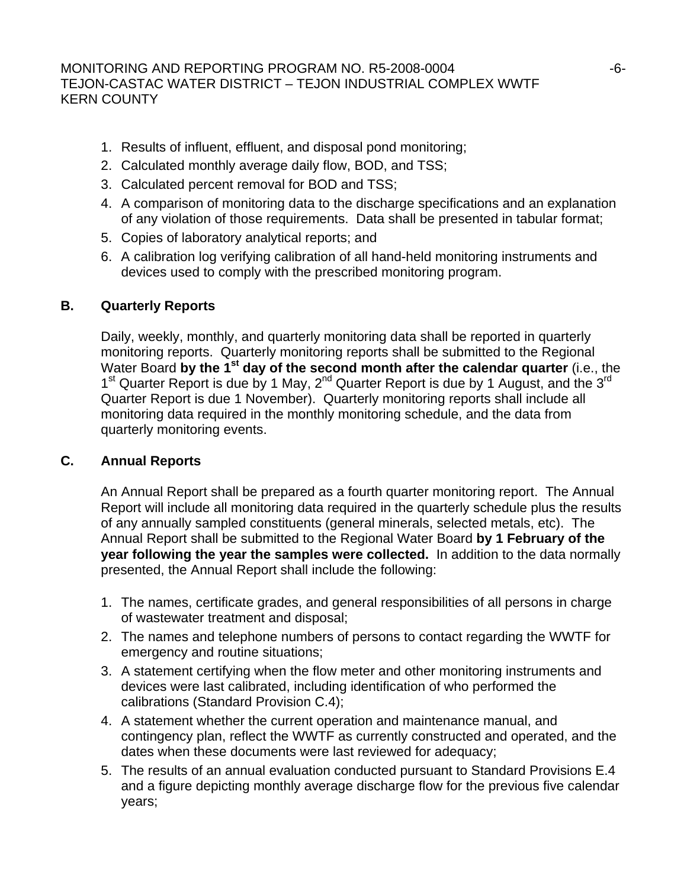- 1. Results of influent, effluent, and disposal pond monitoring;
- 2. Calculated monthly average daily flow, BOD, and TSS;
- 3. Calculated percent removal for BOD and TSS;
- 4. A comparison of monitoring data to the discharge specifications and an explanation of any violation of those requirements. Data shall be presented in tabular format;
- 5. Copies of laboratory analytical reports; and
- 6. A calibration log verifying calibration of all hand-held monitoring instruments and devices used to comply with the prescribed monitoring program.

# **B. Quarterly Reports**

Daily, weekly, monthly, and quarterly monitoring data shall be reported in quarterly monitoring reports. Quarterly monitoring reports shall be submitted to the Regional Water Board by the 1<sup>st</sup> day of the second month after the calendar quarter (i.e., the 1<sup>st</sup> Quarter Report is due by 1 May, 2<sup>nd</sup> Quarter Report is due by 1 August, and the 3<sup>rd</sup> Quarter Report is due 1 November). Quarterly monitoring reports shall include all monitoring data required in the monthly monitoring schedule, and the data from quarterly monitoring events.

# **C. Annual Reports**

 An Annual Report shall be prepared as a fourth quarter monitoring report. The Annual Report will include all monitoring data required in the quarterly schedule plus the results of any annually sampled constituents (general minerals, selected metals, etc). The Annual Report shall be submitted to the Regional Water Board **by 1 February of the year following the year the samples were collected.** In addition to the data normally presented, the Annual Report shall include the following:

- 1. The names, certificate grades, and general responsibilities of all persons in charge of wastewater treatment and disposal;
- 2. The names and telephone numbers of persons to contact regarding the WWTF for emergency and routine situations;
- 3. A statement certifying when the flow meter and other monitoring instruments and devices were last calibrated, including identification of who performed the calibrations (Standard Provision C.4);
- 4. A statement whether the current operation and maintenance manual, and contingency plan, reflect the WWTF as currently constructed and operated, and the dates when these documents were last reviewed for adequacy;
- 5. The results of an annual evaluation conducted pursuant to Standard Provisions E.4 and a figure depicting monthly average discharge flow for the previous five calendar years;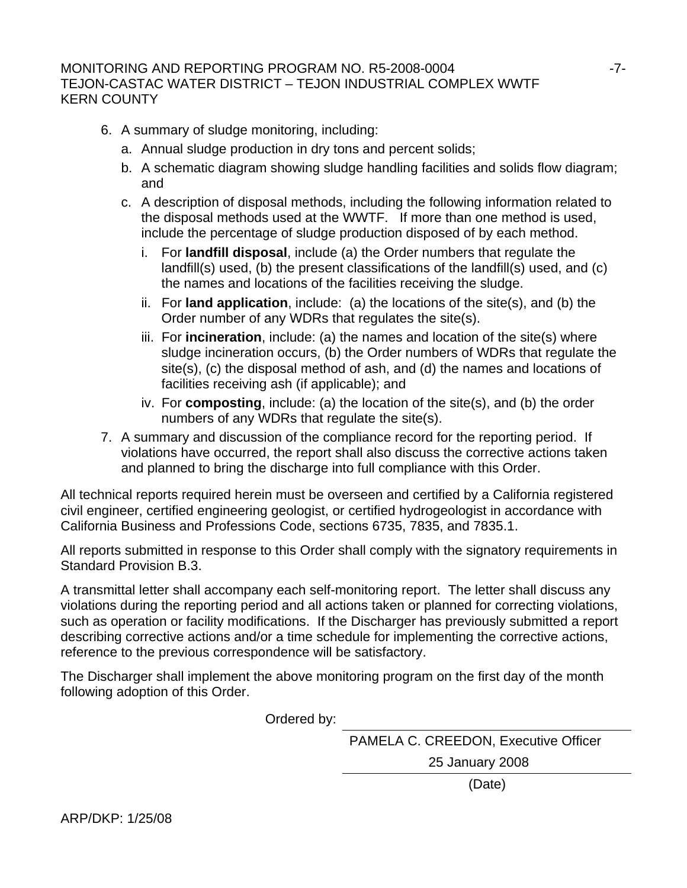# MONITORING AND REPORTING PROGRAM NO. R5-2008-0004  $-7$ -TEJON-CASTAC WATER DISTRICT – TEJON INDUSTRIAL COMPLEX WWTF KERN COUNTY

- 6. A summary of sludge monitoring, including:
	- a. Annual sludge production in dry tons and percent solids;
	- b. A schematic diagram showing sludge handling facilities and solids flow diagram; and
	- c. A description of disposal methods, including the following information related to the disposal methods used at the WWTF. If more than one method is used, include the percentage of sludge production disposed of by each method.
		- i. For **landfill disposal**, include (a) the Order numbers that regulate the landfill(s) used, (b) the present classifications of the landfill(s) used, and (c) the names and locations of the facilities receiving the sludge.
		- ii. For **land application**, include: (a) the locations of the site(s), and (b) the Order number of any WDRs that regulates the site(s).
		- iii. For **incineration**, include: (a) the names and location of the site(s) where sludge incineration occurs, (b) the Order numbers of WDRs that regulate the site(s), (c) the disposal method of ash, and (d) the names and locations of facilities receiving ash (if applicable); and
		- iv. For **composting**, include: (a) the location of the site(s), and (b) the order numbers of any WDRs that regulate the site(s).
- 7. A summary and discussion of the compliance record for the reporting period. If violations have occurred, the report shall also discuss the corrective actions taken and planned to bring the discharge into full compliance with this Order.

All technical reports required herein must be overseen and certified by a California registered civil engineer, certified engineering geologist, or certified hydrogeologist in accordance with California Business and Professions Code, sections 6735, 7835, and 7835.1.

All reports submitted in response to this Order shall comply with the signatory requirements in Standard Provision B.3.

A transmittal letter shall accompany each self-monitoring report. The letter shall discuss any violations during the reporting period and all actions taken or planned for correcting violations, such as operation or facility modifications. If the Discharger has previously submitted a report describing corrective actions and/or a time schedule for implementing the corrective actions, reference to the previous correspondence will be satisfactory.

The Discharger shall implement the above monitoring program on the first day of the month following adoption of this Order.

Ordered by:

PAMELA C. CREEDON, Executive Officer

25 January 2008

(Date)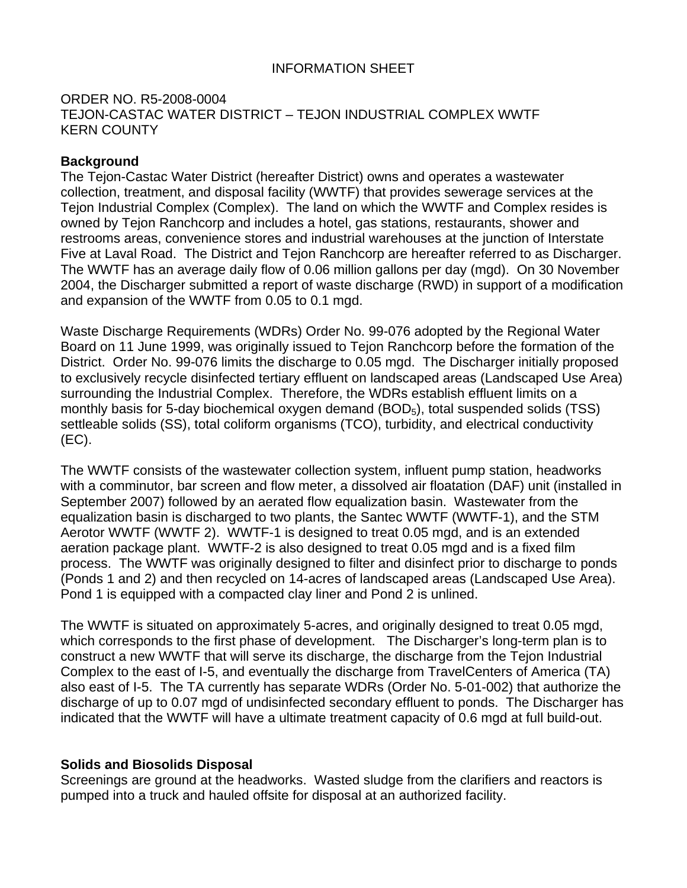# INFORMATION SHEET

# ORDER NO. R5-2008-0004 TEJON-CASTAC WATER DISTRICT – TEJON INDUSTRIAL COMPLEX WWTF KERN COUNTY

# **Background**

The Tejon-Castac Water District (hereafter District) owns and operates a wastewater collection, treatment, and disposal facility (WWTF) that provides sewerage services at the Tejon Industrial Complex (Complex). The land on which the WWTF and Complex resides is owned by Tejon Ranchcorp and includes a hotel, gas stations, restaurants, shower and restrooms areas, convenience stores and industrial warehouses at the junction of Interstate Five at Laval Road. The District and Tejon Ranchcorp are hereafter referred to as Discharger. The WWTF has an average daily flow of 0.06 million gallons per day (mgd). On 30 November 2004, the Discharger submitted a report of waste discharge (RWD) in support of a modification and expansion of the WWTF from 0.05 to 0.1 mgd.

Waste Discharge Requirements (WDRs) Order No. 99-076 adopted by the Regional Water Board on 11 June 1999, was originally issued to Tejon Ranchcorp before the formation of the District. Order No. 99-076 limits the discharge to 0.05 mgd. The Discharger initially proposed to exclusively recycle disinfected tertiary effluent on landscaped areas (Landscaped Use Area) surrounding the Industrial Complex. Therefore, the WDRs establish effluent limits on a monthly basis for 5-day biochemical oxygen demand (BOD<sub>5</sub>), total suspended solids (TSS) settleable solids (SS), total coliform organisms (TCO), turbidity, and electrical conductivity (EC).

The WWTF consists of the wastewater collection system, influent pump station, headworks with a comminutor, bar screen and flow meter, a dissolved air floatation (DAF) unit (installed in September 2007) followed by an aerated flow equalization basin. Wastewater from the equalization basin is discharged to two plants, the Santec WWTF (WWTF-1), and the STM Aerotor WWTF (WWTF 2). WWTF-1 is designed to treat 0.05 mgd, and is an extended aeration package plant. WWTF-2 is also designed to treat 0.05 mgd and is a fixed film process. The WWTF was originally designed to filter and disinfect prior to discharge to ponds (Ponds 1 and 2) and then recycled on 14-acres of landscaped areas (Landscaped Use Area). Pond 1 is equipped with a compacted clay liner and Pond 2 is unlined.

The WWTF is situated on approximately 5-acres, and originally designed to treat 0.05 mgd, which corresponds to the first phase of development. The Discharger's long-term plan is to construct a new WWTF that will serve its discharge, the discharge from the Tejon Industrial Complex to the east of I-5, and eventually the discharge from TravelCenters of America (TA) also east of I-5. The TA currently has separate WDRs (Order No. 5-01-002) that authorize the discharge of up to 0.07 mgd of undisinfected secondary effluent to ponds. The Discharger has indicated that the WWTF will have a ultimate treatment capacity of 0.6 mgd at full build-out.

# **Solids and Biosolids Disposal**

Screenings are ground at the headworks. Wasted sludge from the clarifiers and reactors is pumped into a truck and hauled offsite for disposal at an authorized facility.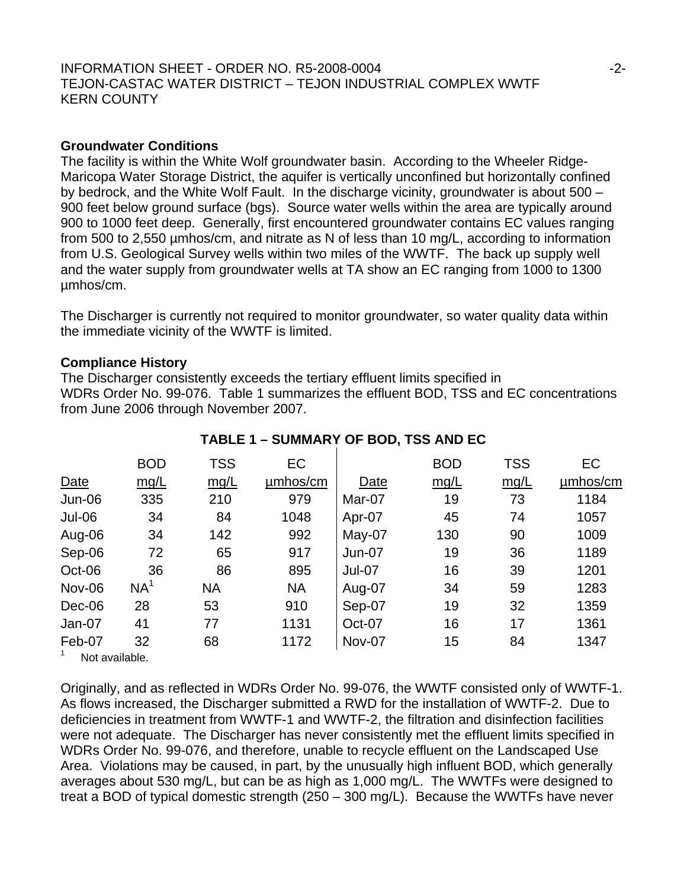## INFORMATION SHEET - ORDER NO. R5-2008-0004  $-2$ -TEJON-CASTAC WATER DISTRICT – TEJON INDUSTRIAL COMPLEX WWTF KERN COUNTY

#### **Groundwater Conditions**

The facility is within the White Wolf groundwater basin. According to the Wheeler Ridge-Maricopa Water Storage District, the aquifer is vertically unconfined but horizontally confined by bedrock, and the White Wolf Fault. In the discharge vicinity, groundwater is about 500 – 900 feet below ground surface (bgs). Source water wells within the area are typically around 900 to 1000 feet deep. Generally, first encountered groundwater contains EC values ranging from 500 to 2,550 µmhos/cm, and nitrate as N of less than 10 mg/L, according to information from U.S. Geological Survey wells within two miles of the WWTF. The back up supply well and the water supply from groundwater wells at TA show an EC ranging from 1000 to 1300 µmhos/cm.

The Discharger is currently not required to monitor groundwater, so water quality data within the immediate vicinity of the WWTF is limited.

### **Compliance History**

The Discharger consistently exceeds the tertiary effluent limits specified in WDRs Order No. 99-076. Table 1 summarizes the effluent BOD, TSS and EC concentrations from June 2006 through November 2007.

|                | <b>BOD</b>      | <b>TSS</b> | EC        |          | <b>BOD</b> | <b>TSS</b> | EC       |
|----------------|-----------------|------------|-----------|----------|------------|------------|----------|
| <b>Date</b>    | mq/L            | mq/L       | µmbos/cm  | Date     | mq/L       | mq/L       | umhos/cm |
| Jun-06         | 335             | 210        | 979       | Mar-07   | 19         | 73         | 1184     |
| <b>Jul-06</b>  | 34              | 84         | 1048      | Apr-07   | 45         | 74         | 1057     |
| Aug-06         | 34              | 142        | 992       | May-07   | 130        | 90         | 1009     |
| Sep-06         | 72              | 65         | 917       | Jun-07   | 19         | 36         | 1189     |
| Oct-06         | 36              | 86         | 895       | $Jul-07$ | 16         | 39         | 1201     |
| <b>Nov-06</b>  | NA <sup>1</sup> | <b>NA</b>  | <b>NA</b> | Aug-07   | 34         | 59         | 1283     |
| Dec-06         | 28              | 53         | 910       | Sep-07   | 19         | 32         | 1359     |
| Jan-07         | 41              | 77         | 1131      | Oct-07   | 16         | 17         | 1361     |
| Feb-07         | 32              | 68         | 1172      | Nov-07   | 15         | 84         | 1347     |
| Not available. |                 |            |           |          |            |            |          |

# **TABLE 1 – SUMMARY OF BOD, TSS AND EC**

Originally, and as reflected in WDRs Order No. 99-076, the WWTF consisted only of WWTF-1. As flows increased, the Discharger submitted a RWD for the installation of WWTF-2. Due to deficiencies in treatment from WWTF-1 and WWTF-2, the filtration and disinfection facilities were not adequate. The Discharger has never consistently met the effluent limits specified in WDRs Order No. 99-076, and therefore, unable to recycle effluent on the Landscaped Use Area. Violations may be caused, in part, by the unusually high influent BOD, which generally averages about 530 mg/L, but can be as high as 1,000 mg/L. The WWTFs were designed to treat a BOD of typical domestic strength (250 – 300 mg/L). Because the WWTFs have never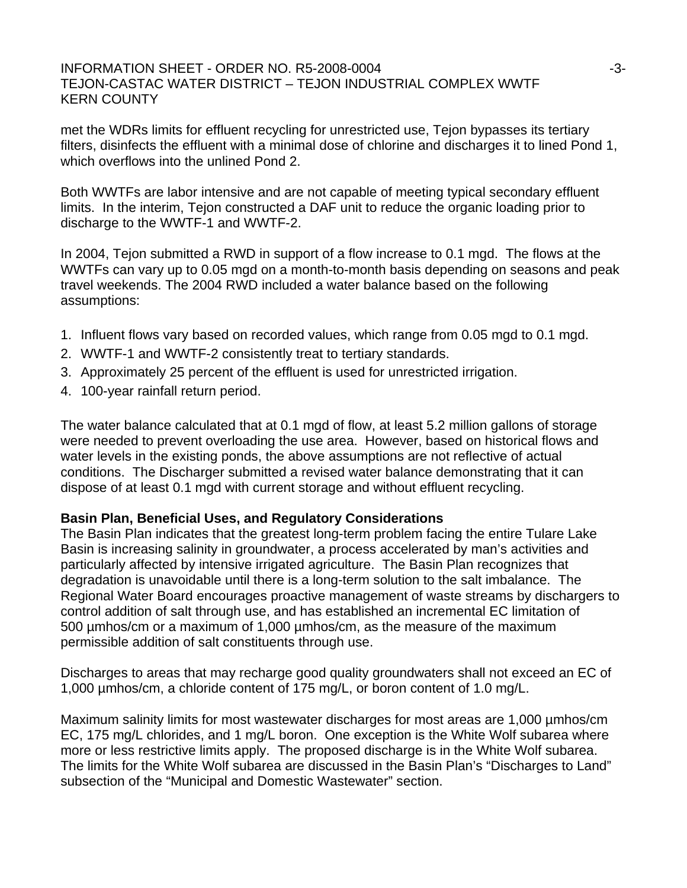### $\blacksquare$ INFORMATION SHEET - ORDER NO. R5-2008-0004  $\blacksquare$ TEJON-CASTAC WATER DISTRICT – TEJON INDUSTRIAL COMPLEX WWTF KERN COUNTY

met the WDRs limits for effluent recycling for unrestricted use, Tejon bypasses its tertiary filters, disinfects the effluent with a minimal dose of chlorine and discharges it to lined Pond 1, which overflows into the unlined Pond 2.

Both WWTFs are labor intensive and are not capable of meeting typical secondary effluent limits. In the interim, Tejon constructed a DAF unit to reduce the organic loading prior to discharge to the WWTF-1 and WWTF-2.

In 2004, Tejon submitted a RWD in support of a flow increase to 0.1 mgd. The flows at the WWTFs can vary up to 0.05 mgd on a month-to-month basis depending on seasons and peak travel weekends. The 2004 RWD included a water balance based on the following assumptions:

- 1. Influent flows vary based on recorded values, which range from 0.05 mgd to 0.1 mgd.
- 2. WWTF-1 and WWTF-2 consistently treat to tertiary standards.
- 3. Approximately 25 percent of the effluent is used for unrestricted irrigation.
- 4. 100-year rainfall return period.

The water balance calculated that at 0.1 mgd of flow, at least 5.2 million gallons of storage were needed to prevent overloading the use area. However, based on historical flows and water levels in the existing ponds, the above assumptions are not reflective of actual conditions. The Discharger submitted a revised water balance demonstrating that it can dispose of at least 0.1 mgd with current storage and without effluent recycling.

# **Basin Plan, Beneficial Uses, and Regulatory Considerations**

The Basin Plan indicates that the greatest long-term problem facing the entire Tulare Lake Basin is increasing salinity in groundwater, a process accelerated by man's activities and particularly affected by intensive irrigated agriculture. The Basin Plan recognizes that degradation is unavoidable until there is a long-term solution to the salt imbalance. The Regional Water Board encourages proactive management of waste streams by dischargers to control addition of salt through use, and has established an incremental EC limitation of 500 µmhos/cm or a maximum of 1,000 µmhos/cm, as the measure of the maximum permissible addition of salt constituents through use.

Discharges to areas that may recharge good quality groundwaters shall not exceed an EC of 1,000 µmhos/cm, a chloride content of 175 mg/L, or boron content of 1.0 mg/L.

Maximum salinity limits for most wastewater discharges for most areas are 1,000 µmhos/cm EC, 175 mg/L chlorides, and 1 mg/L boron. One exception is the White Wolf subarea where more or less restrictive limits apply. The proposed discharge is in the White Wolf subarea. The limits for the White Wolf subarea are discussed in the Basin Plan's "Discharges to Land" subsection of the "Municipal and Domestic Wastewater" section.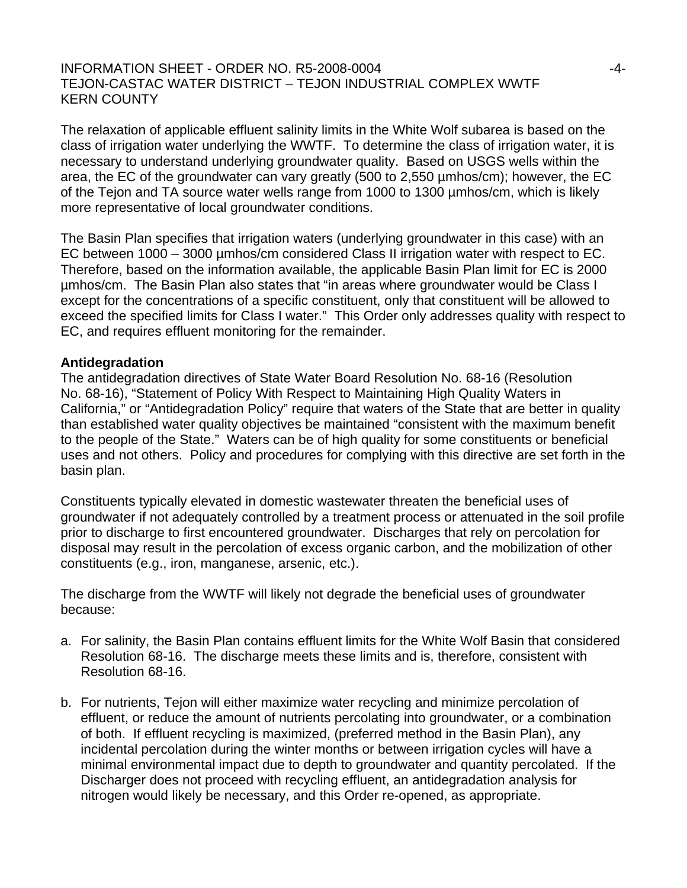## INFORMATION SHEET - ORDER NO. R5-2008-0004  $-4$ -TEJON-CASTAC WATER DISTRICT – TEJON INDUSTRIAL COMPLEX WWTF KERN COUNTY

The relaxation of applicable effluent salinity limits in the White Wolf subarea is based on the class of irrigation water underlying the WWTF. To determine the class of irrigation water, it is necessary to understand underlying groundwater quality. Based on USGS wells within the area, the EC of the groundwater can vary greatly (500 to 2,550 µmhos/cm); however, the EC of the Tejon and TA source water wells range from 1000 to 1300 µmhos/cm, which is likely more representative of local groundwater conditions.

The Basin Plan specifies that irrigation waters (underlying groundwater in this case) with an EC between 1000 – 3000 µmhos/cm considered Class II irrigation water with respect to EC. Therefore, based on the information available, the applicable Basin Plan limit for EC is 2000 µmhos/cm. The Basin Plan also states that "in areas where groundwater would be Class I except for the concentrations of a specific constituent, only that constituent will be allowed to exceed the specified limits for Class I water." This Order only addresses quality with respect to EC, and requires effluent monitoring for the remainder.

#### **Antidegradation**

The antidegradation directives of State Water Board Resolution No. 68-16 (Resolution No. 68-16), "Statement of Policy With Respect to Maintaining High Quality Waters in California," or "Antidegradation Policy" require that waters of the State that are better in quality than established water quality objectives be maintained "consistent with the maximum benefit to the people of the State." Waters can be of high quality for some constituents or beneficial uses and not others. Policy and procedures for complying with this directive are set forth in the basin plan.

Constituents typically elevated in domestic wastewater threaten the beneficial uses of groundwater if not adequately controlled by a treatment process or attenuated in the soil profile prior to discharge to first encountered groundwater. Discharges that rely on percolation for disposal may result in the percolation of excess organic carbon, and the mobilization of other constituents (e.g., iron, manganese, arsenic, etc.).

The discharge from the WWTF will likely not degrade the beneficial uses of groundwater because:

- a. For salinity, the Basin Plan contains effluent limits for the White Wolf Basin that considered Resolution 68-16. The discharge meets these limits and is, therefore, consistent with Resolution 68-16.
- b. For nutrients, Tejon will either maximize water recycling and minimize percolation of effluent, or reduce the amount of nutrients percolating into groundwater, or a combination of both. If effluent recycling is maximized, (preferred method in the Basin Plan), any incidental percolation during the winter months or between irrigation cycles will have a minimal environmental impact due to depth to groundwater and quantity percolated. If the Discharger does not proceed with recycling effluent, an antidegradation analysis for nitrogen would likely be necessary, and this Order re-opened, as appropriate.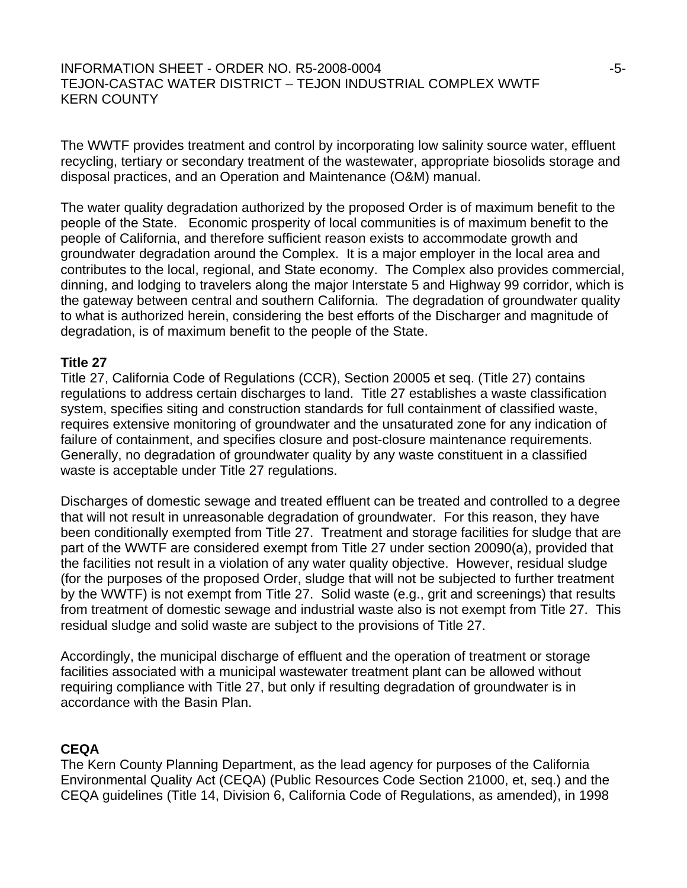# $I$ NFORMATION SHEET - ORDER NO. R5-2008-0004  $-5$ - $5$ - $-5$ TEJON-CASTAC WATER DISTRICT – TEJON INDUSTRIAL COMPLEX WWTF KERN COUNTY

The WWTF provides treatment and control by incorporating low salinity source water, effluent recycling, tertiary or secondary treatment of the wastewater, appropriate biosolids storage and disposal practices, and an Operation and Maintenance (O&M) manual.

The water quality degradation authorized by the proposed Order is of maximum benefit to the people of the State. Economic prosperity of local communities is of maximum benefit to the people of California, and therefore sufficient reason exists to accommodate growth and groundwater degradation around the Complex. It is a major employer in the local area and contributes to the local, regional, and State economy. The Complex also provides commercial, dinning, and lodging to travelers along the major Interstate 5 and Highway 99 corridor, which is the gateway between central and southern California. The degradation of groundwater quality to what is authorized herein, considering the best efforts of the Discharger and magnitude of degradation, is of maximum benefit to the people of the State.

### **Title 27**

Title 27, California Code of Regulations (CCR), Section 20005 et seq. (Title 27) contains regulations to address certain discharges to land. Title 27 establishes a waste classification system, specifies siting and construction standards for full containment of classified waste, requires extensive monitoring of groundwater and the unsaturated zone for any indication of failure of containment, and specifies closure and post-closure maintenance requirements. Generally, no degradation of groundwater quality by any waste constituent in a classified waste is acceptable under Title 27 regulations.

Discharges of domestic sewage and treated effluent can be treated and controlled to a degree that will not result in unreasonable degradation of groundwater. For this reason, they have been conditionally exempted from Title 27. Treatment and storage facilities for sludge that are part of the WWTF are considered exempt from Title 27 under section 20090(a), provided that the facilities not result in a violation of any water quality objective. However, residual sludge (for the purposes of the proposed Order, sludge that will not be subjected to further treatment by the WWTF) is not exempt from Title 27. Solid waste (e.g., grit and screenings) that results from treatment of domestic sewage and industrial waste also is not exempt from Title 27. This residual sludge and solid waste are subject to the provisions of Title 27.

Accordingly, the municipal discharge of effluent and the operation of treatment or storage facilities associated with a municipal wastewater treatment plant can be allowed without requiring compliance with Title 27, but only if resulting degradation of groundwater is in accordance with the Basin Plan.

# **CEQA**

The Kern County Planning Department, as the lead agency for purposes of the California Environmental Quality Act (CEQA) (Public Resources Code Section 21000, et, seq.) and the CEQA guidelines (Title 14, Division 6, California Code of Regulations, as amended), in 1998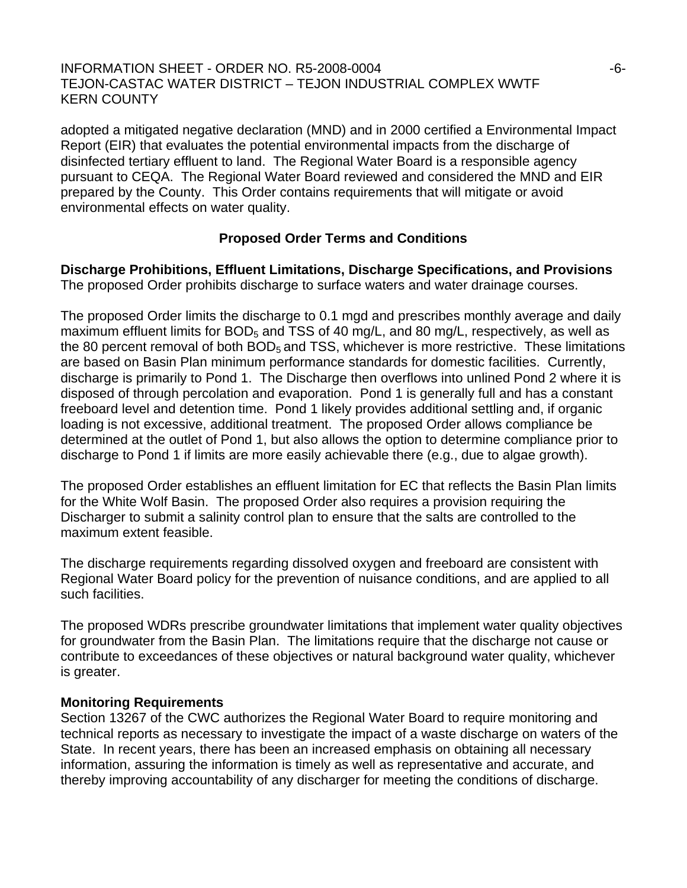### $\overline{1}$  INFORMATION SHEET - ORDER NO. R5-2008-0004  $-6$ -TEJON-CASTAC WATER DISTRICT – TEJON INDUSTRIAL COMPLEX WWTF KERN COUNTY

adopted a mitigated negative declaration (MND) and in 2000 certified a Environmental Impact Report (EIR) that evaluates the potential environmental impacts from the discharge of disinfected tertiary effluent to land. The Regional Water Board is a responsible agency pursuant to CEQA. The Regional Water Board reviewed and considered the MND and EIR prepared by the County. This Order contains requirements that will mitigate or avoid environmental effects on water quality.

# **Proposed Order Terms and Conditions**

**Discharge Prohibitions, Effluent Limitations, Discharge Specifications, and Provisions**  The proposed Order prohibits discharge to surface waters and water drainage courses.

The proposed Order limits the discharge to 0.1 mgd and prescribes monthly average and daily maximum effluent limits for  $BOD<sub>5</sub>$  and TSS of 40 mg/L, and 80 mg/L, respectively, as well as the 80 percent removal of both  $BOD<sub>5</sub>$  and TSS, whichever is more restrictive. These limitations are based on Basin Plan minimum performance standards for domestic facilities. Currently, discharge is primarily to Pond 1. The Discharge then overflows into unlined Pond 2 where it is disposed of through percolation and evaporation. Pond 1 is generally full and has a constant freeboard level and detention time. Pond 1 likely provides additional settling and, if organic loading is not excessive, additional treatment. The proposed Order allows compliance be determined at the outlet of Pond 1, but also allows the option to determine compliance prior to discharge to Pond 1 if limits are more easily achievable there (e.g., due to algae growth).

The proposed Order establishes an effluent limitation for EC that reflects the Basin Plan limits for the White Wolf Basin. The proposed Order also requires a provision requiring the Discharger to submit a salinity control plan to ensure that the salts are controlled to the maximum extent feasible.

The discharge requirements regarding dissolved oxygen and freeboard are consistent with Regional Water Board policy for the prevention of nuisance conditions, and are applied to all such facilities.

The proposed WDRs prescribe groundwater limitations that implement water quality objectives for groundwater from the Basin Plan. The limitations require that the discharge not cause or contribute to exceedances of these objectives or natural background water quality, whichever is greater.

# **Monitoring Requirements**

Section 13267 of the CWC authorizes the Regional Water Board to require monitoring and technical reports as necessary to investigate the impact of a waste discharge on waters of the State. In recent years, there has been an increased emphasis on obtaining all necessary information, assuring the information is timely as well as representative and accurate, and thereby improving accountability of any discharger for meeting the conditions of discharge.